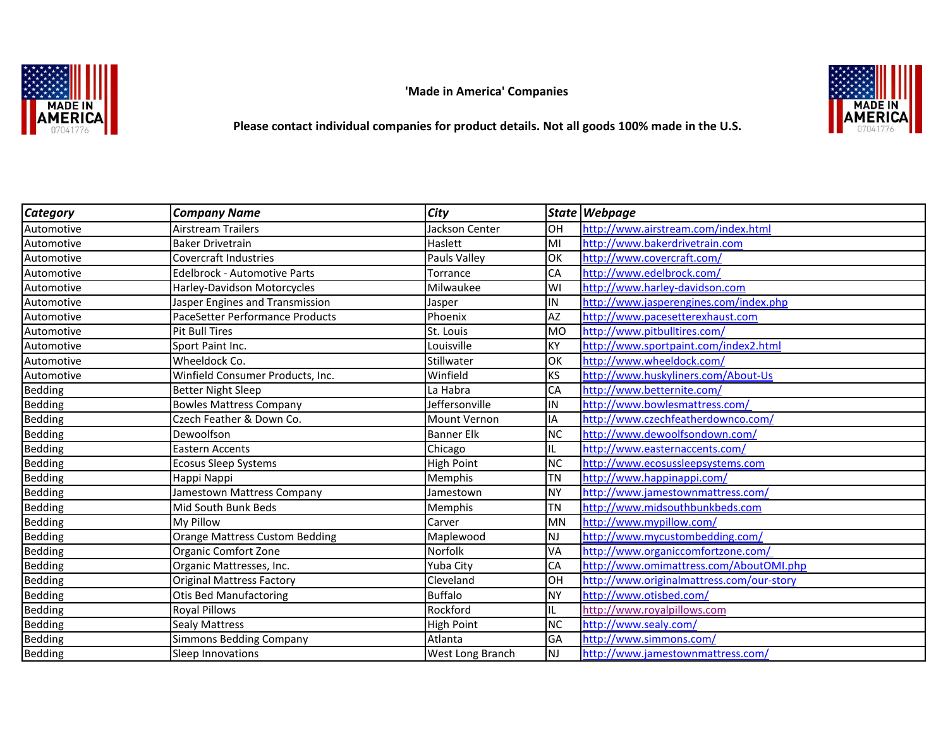**MADE IN** 

 **'Made in America' Companies**



 **Please contact individual companies for product details. Not all goods 100% made in the U.S.**

| <b>Category</b> | <b>Company Name</b>                   | <b>City</b>       |           | State Webpage                             |
|-----------------|---------------------------------------|-------------------|-----------|-------------------------------------------|
| Automotive      | <b>Airstream Trailers</b>             | Jackson Center    | Іон       | http://www.airstream.com/index.html       |
| Automotive      | <b>Baker Drivetrain</b>               | Haslett           | MI        | http://www.bakerdrivetrain.com            |
| Automotive      | Covercraft Industries                 | Pauls Valley      | lок       | http://www.covercraft.com/                |
| Automotive      | <b>Edelbrock - Automotive Parts</b>   | Torrance          | <b>CA</b> | http://www.edelbrock.com/                 |
| Automotive      | Harley-Davidson Motorcycles           | Milwaukee         | lwı       | http://www.harley-davidson.com            |
| Automotive      | Jasper Engines and Transmission       | Jasper            | IN.       | http://www.jasperengines.com/index.php    |
| Automotive      | PaceSetter Performance Products       | Phoenix           | <b>AZ</b> | http://www.pacesetterexhaust.com          |
| Automotive      | Pit Bull Tires                        | St. Louis         | MO        | http://www.pitbulltires.com/              |
| Automotive      | Sport Paint Inc.                      | Louisville        | <b>KY</b> | http://www.sportpaint.com/index2.html     |
| Automotive      | Wheeldock Co.                         | Stillwater        | lок       | http://www.wheeldock.com/                 |
| Automotive      | Winfield Consumer Products, Inc.      | Winfield          | <b>KS</b> | http://www.huskyliners.com/About-Us       |
| <b>Bedding</b>  | <b>Better Night Sleep</b>             | La Habra          | CA        | http://www.betternite.com/                |
| <b>Bedding</b>  | <b>Bowles Mattress Company</b>        | Jeffersonville    | IN.       | http://www.bowlesmattress.com/            |
| <b>Bedding</b>  | Czech Feather & Down Co.              | Mount Vernon      | <b>IA</b> | http://www.czechfeatherdownco.com/        |
| <b>Bedding</b>  | Dewoolfson                            | <b>Banner Elk</b> | <b>NC</b> | http://www.dewoolfsondown.com/            |
| Bedding         | Eastern Accents                       | Chicago           | IL        | http://www.easternaccents.com/            |
| <b>Bedding</b>  | Ecosus Sleep Systems                  | <b>High Point</b> | <b>NC</b> | http://www.ecosussleepsystems.com         |
| <b>Bedding</b>  | Happi Nappi                           | Memphis           | <b>TN</b> | http://www.happinappi.com/                |
| Bedding         | Jamestown Mattress Company            | Jamestown         | <b>NY</b> | http://www.jamestownmattress.com/         |
| Bedding         | Mid South Bunk Beds                   | Memphis           | <b>TN</b> | http://www.midsouthbunkbeds.com           |
| <b>Bedding</b>  | My Pillow                             | Carver            | MN        | http://www.mypillow.com/                  |
| <b>Bedding</b>  | <b>Orange Mattress Custom Bedding</b> | Maplewood         | <b>NJ</b> | http://www.mycustombedding.com/           |
| <b>Bedding</b>  | Organic Comfort Zone                  | Norfolk           | VA        | http://www.organiccomfortzone.com/        |
| Bedding         | Organic Mattresses, Inc.              | Yuba City         | <b>CA</b> | http://www.omimattress.com/AboutOMI.php   |
| <b>Bedding</b>  | <b>Original Mattress Factory</b>      | Cleveland         | Іон       | http://www.originalmattress.com/our-story |
| <b>Bedding</b>  | <b>Otis Bed Manufactoring</b>         | <b>Buffalo</b>    | <b>NY</b> | http://www.otisbed.com/                   |
| <b>Bedding</b>  | Royal Pillows                         | Rockford          | IIL       | http://www.royalpillows.com               |
| <b>Bedding</b>  | <b>Sealy Mattress</b>                 | <b>High Point</b> | <b>NC</b> | http://www.sealy.com/                     |
| <b>Bedding</b>  | <b>Simmons Bedding Company</b>        | Atlanta           | <b>GA</b> | http://www.simmons.com/                   |
| <b>Bedding</b>  | Sleep Innovations                     | West Long Branch  | INJ       | http://www.jamestownmattress.com/         |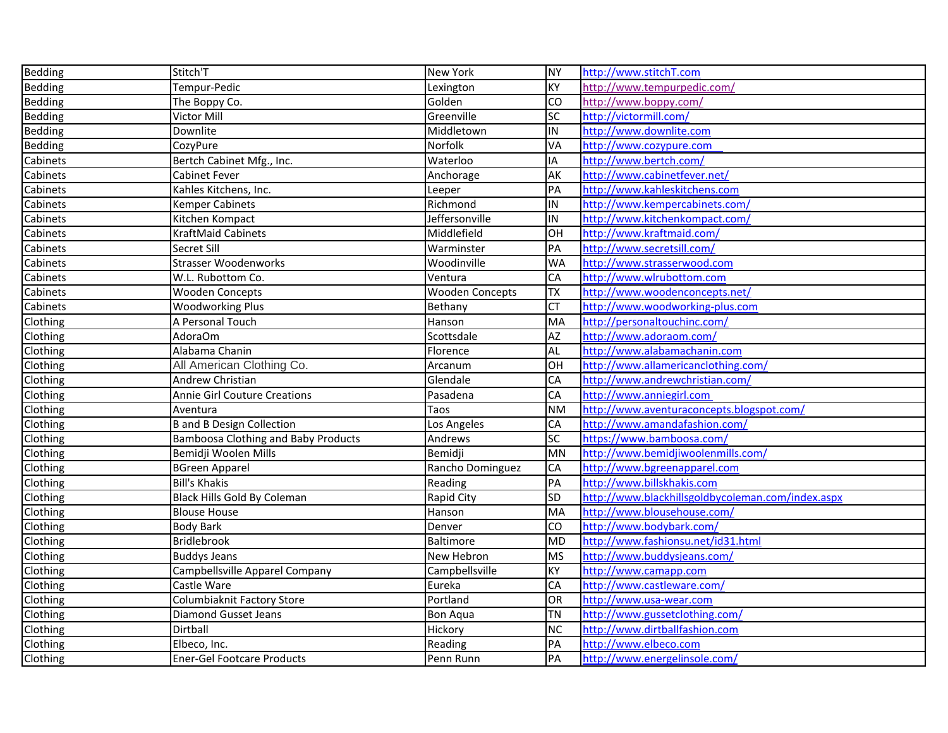| Bedding        | Stitch'T                                   | New York               | <b>NY</b>        | http://www.stitchT.com                            |
|----------------|--------------------------------------------|------------------------|------------------|---------------------------------------------------|
| <b>Bedding</b> | Tempur-Pedic                               | Lexington              | KY               | http://www.tempurpedic.com/                       |
| Bedding        | The Boppy Co.                              | Golden                 | CO               | http://www.boppy.com/                             |
| Bedding        | Victor Mill                                | Greenville             | <b>SC</b>        | http://victormill.com/                            |
| Bedding        | Downlite                                   | Middletown             | $\overline{\Xi}$ | http://www.downlite.com                           |
| <b>Bedding</b> | CozyPure                                   | Norfolk                | VA               | http://www.cozypure.com                           |
| Cabinets       | Bertch Cabinet Mfg., Inc.                  | Waterloo               | IA               | http://www.bertch.com/                            |
| Cabinets       | Cabinet Fever                              | Anchorage              | AK               | http://www.cabinetfever.net/                      |
| Cabinets       | Kahles Kitchens, Inc.                      | Leeper                 | PA               | http://www.kahleskitchens.com                     |
| Cabinets       | <b>Kemper Cabinets</b>                     | Richmond               | $\overline{\Xi}$ | http://www.kempercabinets.com/                    |
| Cabinets       | Kitchen Kompact                            | Jeffersonville         | IN               | http://www.kitchenkompact.com/                    |
| Cabinets       | KraftMaid Cabinets                         | Middlefield            | OH               | http://www.kraftmaid.com/                         |
| Cabinets       | Secret Sill                                | Warminster             | PA               | http://www.secretsill.com/                        |
| Cabinets       | <b>Strasser Woodenworks</b>                | Woodinville            | <b>WA</b>        | http://www.strasserwood.com                       |
| Cabinets       | W.L. Rubottom Co.                          | Ventura                | CA               | http://www.wlrubottom.com                         |
| Cabinets       | <b>Wooden Concepts</b>                     | <b>Wooden Concepts</b> | χL               | http://www.woodenconcepts.net/                    |
| Cabinets       | <b>Woodworking Plus</b>                    | Bethany                | <b>CT</b>        | http://www.woodworking-plus.com                   |
| Clothing       | A Personal Touch                           | Hanson                 | <b>MA</b>        | http://personaltouchinc.com/                      |
| Clothing       | AdoraOm                                    | Scottsdale             | AZ               | http://www.adoraom.com/                           |
| Clothing       | Alabama Chanin                             | Florence               | <b>AL</b>        | http://www.alabamachanin.com                      |
| Clothing       | All American Clothing Co.                  | Arcanum                | $\overline{O}$ H | http://www.allamericanclothing.com/               |
| Clothing       | Andrew Christian                           | Glendale               | CA               | http://www.andrewchristian.com/                   |
| Clothing       | <b>Annie Girl Couture Creations</b>        | Pasadena               | CA               | http://www.anniegirl.com                          |
| Clothing       | Aventura                                   | Taos                   | <b>NM</b>        | http://www.aventuraconcepts.blogspot.com/         |
| Clothing       | <b>B</b> and <b>B</b> Design Collection    | Los Angeles            | CA               | http://www.amandafashion.com/                     |
| Clothing       | <b>Bamboosa Clothing and Baby Products</b> | Andrews                | SC               | https://www.bamboosa.com/                         |
| Clothing       | Bemidji Woolen Mills                       | Bemidji                | <b>MN</b>        | http://www.bemidjiwoolenmills.com/                |
| Clothing       | <b>BGreen Apparel</b>                      | Rancho Dominguez       | CA               | http://www.bgreenapparel.com                      |
| Clothing       | <b>Bill's Khakis</b>                       | Reading                | PA               | http://www.billskhakis.com                        |
| Clothing       | Black Hills Gold By Coleman                | Rapid City             | SD               | http://www.blackhillsgoldbycoleman.com/index.aspx |
| Clothing       | <b>Blouse House</b>                        | Hanson                 | <b>MA</b>        | http://www.blousehouse.com/                       |
| Clothing       | <b>Body Bark</b>                           | Denver                 | CO               | http://www.bodybark.com/                          |
| Clothing       | Bridlebrook                                | Baltimore              | <b>MD</b>        | http://www.fashionsu.net/id31.html                |
| Clothing       | Buddys Jeans                               | New Hebron             | <b>MS</b>        | http://www.buddysjeans.com/                       |
| Clothing       | Campbellsville Apparel Company             | Campbellsville         | KY               | http://www.camapp.com                             |
| Clothing       | Castle Ware                                | Eureka                 | CA               | http://www.castleware.com/                        |
| Clothing       | Columbiaknit Factory Store                 | Portland               | OR               | http://www.usa-wear.com                           |
| Clothing       | <b>Diamond Gusset Jeans</b>                | <b>Bon Aqua</b>        | <b>TN</b>        | http://www.gussetclothing.com/                    |
| Clothing       | Dirtball                                   | Hickory                | <b>NC</b>        | http://www.dirtballfashion.com                    |
| Clothing       | Elbeco, Inc.                               | Reading                | PA               | http://www.elbeco.com                             |
| Clothing       | <b>Ener-Gel Footcare Products</b>          | Penn Runn              | PA               | http://www.energelinsole.com/                     |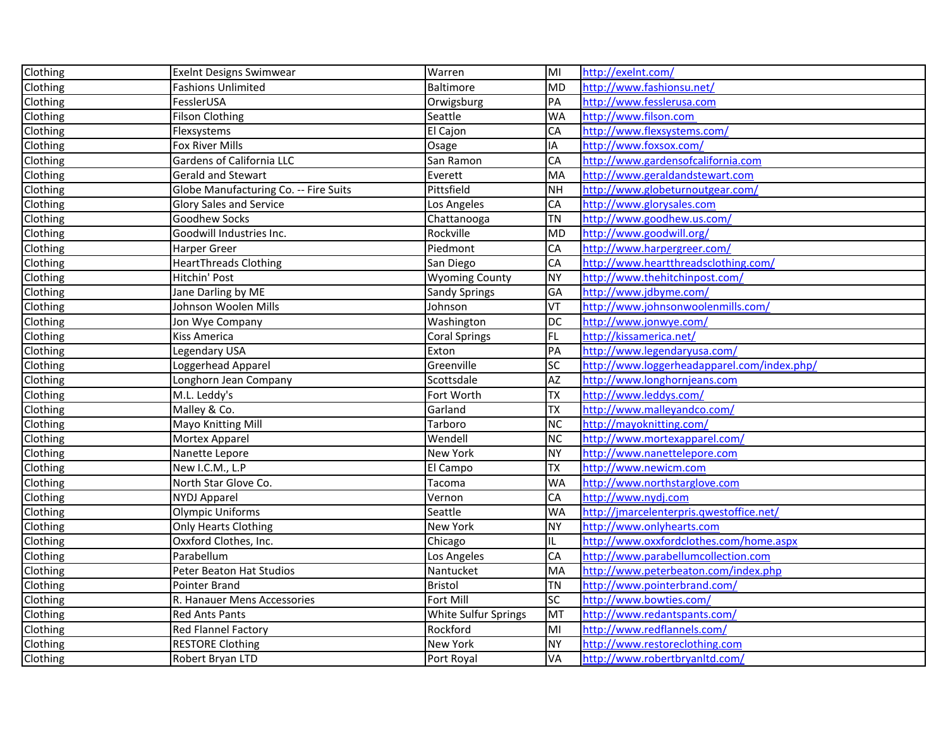| Clothing | <b>Exelnt Designs Swimwear</b>        | Warren                | $\overline{\mathsf{M}}$ | http://exelnt.com/                          |
|----------|---------------------------------------|-----------------------|-------------------------|---------------------------------------------|
| Clothing | <b>Fashions Unlimited</b>             | Baltimore             | MD                      | http://www.fashionsu.net/                   |
| Clothing | FesslerUSA                            | Orwigsburg            | PA                      | http://www.fesslerusa.com                   |
| Clothing | <b>Filson Clothing</b>                | Seattle               | <b>WA</b>               | http://www.filson.com                       |
| Clothing | Flexsystems                           | El Cajon              | CA                      | http://www.flexsystems.com/                 |
| Clothing | Fox River Mills                       | Osage                 | IA                      | http://www.foxsox.com/                      |
| Clothing | Gardens of California LLC             | San Ramon             | CA                      | http://www.gardensofcalifornia.com          |
| Clothing | Gerald and Stewart                    | Everett               | MA                      | http://www.geraldandstewart.com             |
| Clothing | Globe Manufacturing Co. -- Fire Suits | Pittsfield            | <b>NH</b>               | http://www.globeturnoutgear.com/            |
| Clothing | <b>Glory Sales and Service</b>        | Los Angeles           | CA                      | http://www.glorysales.com                   |
| Clothing | <b>Goodhew Socks</b>                  | Chattanooga           | <b>TN</b>               | http://www.goodhew.us.com/                  |
| Clothing | Goodwill Industries Inc.              | Rockville             | <b>MD</b>               | http://www.goodwill.org/                    |
| Clothing | Harper Greer                          | Piedmont              | CA                      | http://www.harpergreer.com/                 |
| Clothing | <b>HeartThreads Clothing</b>          | San Diego             | CA                      | http://www.heartthreadsclothing.com/        |
| Clothing | Hitchin' Post                         | <b>Wyoming County</b> | <b>NY</b>               | http://www.thehitchinpost.com/              |
| Clothing | Jane Darling by ME                    | <b>Sandy Springs</b>  | GA                      | http://www.jdbyme.com/                      |
| Clothing | Johnson Woolen Mills                  | Johnson               | VT                      | http://www.johnsonwoolenmills.com/          |
| Clothing | Jon Wye Company                       | Washington            | <b>DC</b>               | http://www.jonwye.com/                      |
| Clothing | Kiss America                          | <b>Coral Springs</b>  | <b>FL</b>               | http://kissamerica.net/                     |
| Clothing | Legendary USA                         | Exton                 | PA                      | http://www.legendaryusa.com/                |
| Clothing | Loggerhead Apparel                    | Greenville            | <b>SC</b>               | http://www.loggerheadapparel.com/index.php/ |
| Clothing | Longhorn Jean Company                 | Scottsdale            | AZ                      | http://www.longhornjeans.com                |
| Clothing | M.L. Leddy's                          | Fort Worth            | <b>TX</b>               | http://www.leddys.com/                      |
| Clothing | Malley & Co.                          | Garland               | TX                      | http://www.malleyandco.com/                 |
| Clothing | Mayo Knitting Mill                    | Tarboro               | <b>NC</b>               | http://mayoknitting.com/                    |
| Clothing | Mortex Apparel                        | Wendell               | <b>NC</b>               | http://www.mortexapparel.com/               |
| Clothing | Nanette Lepore                        | New York              | ΝY                      | http://www.nanettelepore.com                |
| Clothing | New I.C.M., L.P                       | El Campo              | <b>TX</b>               | http://www.newicm.com                       |
| Clothing | North Star Glove Co.                  | Tacoma                | <b>WA</b>               | http://www.northstarglove.com               |
| Clothing | <b>NYDJ Apparel</b>                   | Vernon                | CA                      | http://www.nydj.com                         |
| Clothing | <b>Olympic Uniforms</b>               | Seattle               | <b>WA</b>               | http://jmarcelenterpris.qwestoffice.net/    |
| Clothing | Only Hearts Clothing                  | New York              | <b>NY</b>               | http://www.onlyhearts.com                   |
| Clothing | Oxxford Clothes, Inc.                 | Chicago               | IL                      | http://www.oxxfordclothes.com/home.aspx     |
| Clothing | Parabellum                            | Los Angeles           | CA                      | http://www.parabellumcollection.com         |
| Clothing | Peter Beaton Hat Studios              | Nantucket             | MA                      | http://www.peterbeaton.com/index.php        |
| Clothing | Pointer Brand                         | <b>Bristol</b>        | <b>TN</b>               | http://www.pointerbrand.com/                |
| Clothing | R. Hanauer Mens Accessories           | Fort Mill             | lsc                     | http://www.bowties.com/                     |
| Clothing | <b>Red Ants Pants</b>                 | White Sulfur Springs  | MT                      | http://www.redantspants.com/                |
| Clothing | Red Flannel Factory                   | Rockford              | MI                      | http://www.redflannels.com/                 |
| Clothing | <b>RESTORE Clothing</b>               | New York              | NY.                     | http://www.restoreclothing.com              |
| Clothing | Robert Bryan LTD                      | Port Royal            | VA                      | http://www.robertbryanltd.com/              |
|          |                                       |                       |                         |                                             |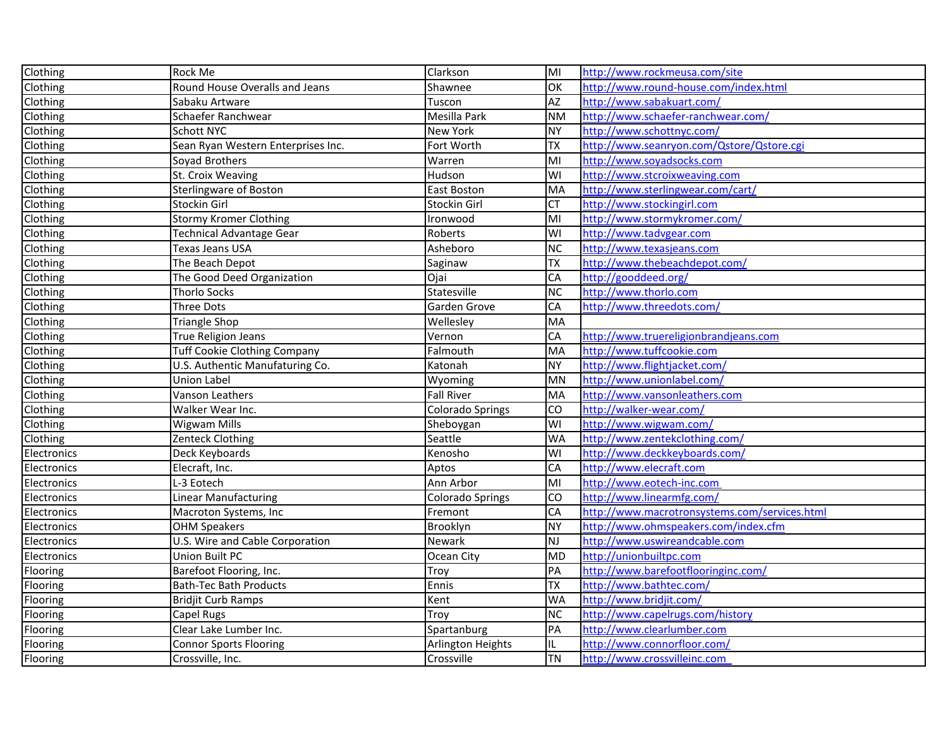| Clothing    | Rock Me                             | Clarkson                | lмı                     | http://www.rockmeusa.com/site                 |
|-------------|-------------------------------------|-------------------------|-------------------------|-----------------------------------------------|
| Clothing    | Round House Overalls and Jeans      | Shawnee                 | OK                      | http://www.round-house.com/index.html         |
| Clothing    | Sabaku Artware                      | Tuscon                  | $\overline{AZ}$         | http://www.sabakuart.com/                     |
| Clothing    | Schaefer Ranchwear                  | Mesilla Park            | <b>NM</b>               | http://www.schaefer-ranchwear.com/            |
| Clothing    | Schott NYC                          | <b>New York</b>         | NY.                     | http://www.schottnyc.com/                     |
| Clothing    | Sean Ryan Western Enterprises Inc.  | Fort Worth              | <b>TX</b>               | http://www.seanryon.com/Qstore/Qstore.cgi     |
| Clothing    | Soyad Brothers                      | Warren                  | MI                      | http://www.soyadsocks.com                     |
| Clothing    | St. Croix Weaving                   | Hudson                  | WI                      | http://www.stcroixweaving.com                 |
| Clothing    | Sterlingware of Boston              | <b>East Boston</b>      | MA                      | http://www.sterlingwear.com/cart/             |
| Clothing    | Stockin Girl                        | Stockin Girl            | CT                      | http://www.stockingirl.com                    |
| Clothing    | <b>Stormy Kromer Clothing</b>       | Ironwood                | lмı                     | http://www.stormykromer.com/                  |
| Clothing    | Technical Advantage Gear            | Roberts                 | $\overline{\mathsf{M}}$ | http://www.tadvgear.com                       |
| Clothing    | Texas Jeans USA                     | Asheboro                | <b>NC</b>               | http://www.texasjeans.com                     |
| Clothing    | The Beach Depot                     | Saginaw                 | <b>TX</b>               | http://www.thebeachdepot.com/                 |
| Clothing    | The Good Deed Organization          | Ojai                    | CA                      | http://gooddeed.org/                          |
| Clothing    | <b>Thorlo Socks</b>                 | Statesville             | $\overline{NC}$         | http://www.thorlo.com                         |
| Clothing    | Three Dots                          | Garden Grove            | CA                      | http://www.threedots.com/                     |
| Clothing    | Triangle Shop                       | Wellesley               | MA                      |                                               |
| Clothing    | True Religion Jeans                 | Vernon                  | CA                      | http://www.truereligionbrandjeans.com         |
| Clothing    | <b>Tuff Cookie Clothing Company</b> | Falmouth                | MA                      | http://www.tuffcookie.com                     |
| Clothing    | U.S. Authentic Manufaturing Co.     | Katonah                 | <b>NY</b>               | http://www.flightjacket.com/                  |
| Clothing    | <b>Union Label</b>                  | Wyoming                 | <b>MN</b>               | http://www.unionlabel.com/                    |
| Clothing    | Vanson Leathers                     | <b>Fall River</b>       | MA                      | http://www.vansonleathers.com                 |
| Clothing    | Walker Wear Inc.                    | <b>Colorado Springs</b> | <b>CO</b>               | http://walker-wear.com/                       |
| Clothing    | Wigwam Mills                        | Sheboygan               | WI                      | http://www.wigwam.com/                        |
| Clothing    | Zenteck Clothing                    | Seattle                 | <b>WA</b>               | http://www.zentekclothing.com/                |
| Electronics | Deck Keyboards                      | Kenosho                 | $\overline{\mathsf{M}}$ | http://www.deckkeyboards.com/                 |
| Electronics | Elecraft, Inc.                      | Aptos                   | CA                      | http://www.elecraft.com                       |
| Electronics | L-3 Eotech                          | Ann Arbor               | MІ                      | http://www.eotech-inc.com                     |
| Electronics | Linear Manufacturing                | <b>Colorado Springs</b> | Ю                       | http://www.linearmfg.com/                     |
| Electronics | Macroton Systems, Inc               | Fremont                 | CA                      | http://www.macrotronsystems.com/services.html |
| Electronics | <b>OHM Speakers</b>                 | Brooklyn                | <b>NY</b>               | http://www.ohmspeakers.com/index.cfm          |
| Electronics | U.S. Wire and Cable Corporation     | Newark                  | NJ                      | http://www.uswireandcable.com                 |
| Electronics | Union Built PC                      | Ocean City              | <b>MD</b>               | http://unionbuiltpc.com                       |
| Flooring    | Barefoot Flooring, Inc.             | Troy                    | PA                      | http://www.barefootflooringinc.com/           |
| Flooring    | <b>Bath-Tec Bath Products</b>       | Ennis                   | <b>TX</b>               | http://www.bathtec.com/                       |
| Flooring    | <b>Bridjit Curb Ramps</b>           | Kent                    | <b>WA</b>               | http://www.bridjit.com/                       |
| Flooring    | Capel Rugs                          | Troy                    | $\overline{\text{NC}}$  | http://www.capelrugs.com/history              |
| Flooring    | Clear Lake Lumber Inc.              | Spartanburg             | PA                      | http://www.clearlumber.com                    |
| Flooring    | <b>Connor Sports Flooring</b>       | Arlington Heights       | IL                      | http://www.connorfloor.com/                   |
| Flooring    | Crossville, Inc.                    | Crossville              | <b>TN</b>               | http://www.crossvilleinc.com                  |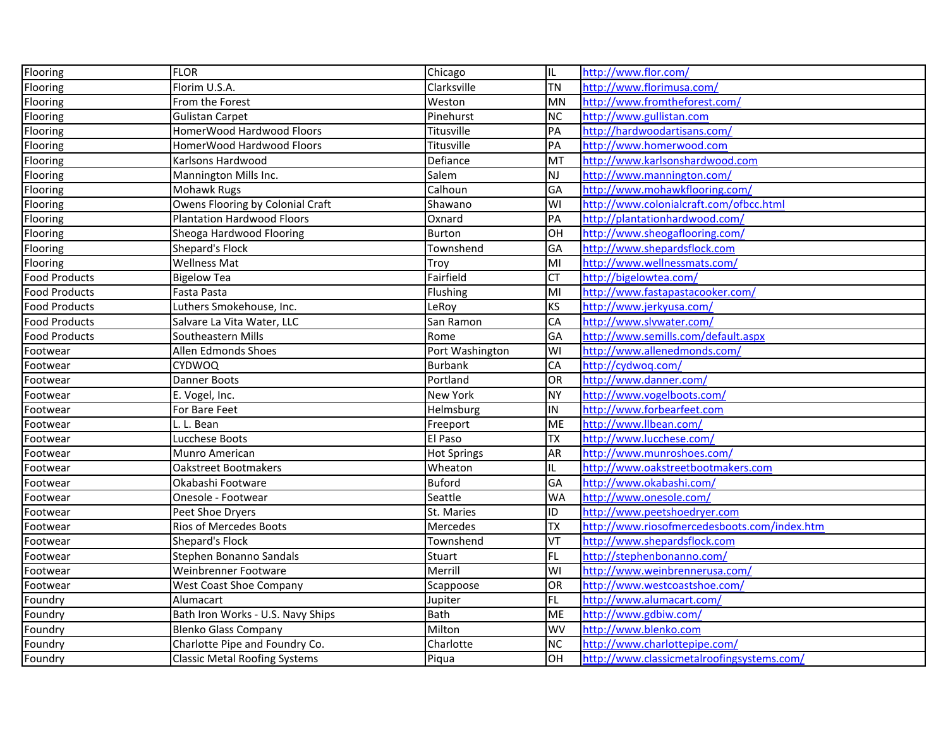| Flooring             | <b>FLOR</b>                          | Chicago            | IL.              | http://www.flor.com/                         |
|----------------------|--------------------------------------|--------------------|------------------|----------------------------------------------|
| Flooring             | Florim U.S.A.                        | Clarksville        | <b>TN</b>        | http://www.florimusa.com/                    |
| Flooring             | From the Forest                      | Weston             | MN               | http://www.fromtheforest.com/                |
| Flooring             | <b>Gulistan Carpet</b>               | Pinehurst          | <b>NC</b>        | http://www.gullistan.com                     |
| <b>Flooring</b>      | HomerWood Hardwood Floors            | Titusville         | PA               | http://hardwoodartisans.com/                 |
| Flooring             | HomerWood Hardwood Floors            | Titusville         | PA               | http://www.homerwood.com                     |
| Flooring             | Karlsons Hardwood                    | Defiance           | MT               | http://www.karlsonshardwood.com              |
| Flooring             | Mannington Mills Inc.                | Salem              | lnj              | http://www.mannington.com/                   |
| Flooring             | Mohawk Rugs                          | Calhoun            | GA               | http://www.mohawkflooring.com/               |
| Flooring             | Owens Flooring by Colonial Craft     | Shawano            | WI               | http://www.colonialcraft.com/ofbcc.html      |
| Flooring             | <b>Plantation Hardwood Floors</b>    | Oxnard             | PA               | http://plantationhardwood.com/               |
| Flooring             | Sheoga Hardwood Flooring             | Burton             | OH               | http://www.sheogaflooring.com/               |
| Flooring             | Shepard's Flock                      | Townshend          | GA               | http://www.shepardsflock.com                 |
| Flooring             | <b>Wellness Mat</b>                  | Troy               | lмı              | http://www.wellnessmats.com/                 |
| Food Products        | <b>Bigelow Tea</b>                   | Fairfield          | $\overline{CT}$  | http://bigelowtea.com/                       |
| <b>Food Products</b> | Fasta Pasta                          | Flushing           | lмı              | http://www.fastapastacooker.com/             |
| <b>Food Products</b> | Luthers Smokehouse, Inc.             | LeRoy              | <b>KS</b>        | http://www.jerkyusa.com/                     |
| <b>Food Products</b> | Salvare La Vita Water, LLC           | San Ramon          | CA               | http://www.slvwater.com/                     |
| <b>Food Products</b> | Southeastern Mills                   | Rome               | GA               | http://www.semills.com/default.aspx          |
| Footwear             | Allen Edmonds Shoes                  | Port Washington    | WI               | http://www.allenedmonds.com/                 |
| Footwear             | CYDWOQ                               | <b>Burbank</b>     | CA               | http://cydwoq.com/                           |
| Footwear             | Danner Boots                         | Portland           | OR               | http://www.danner.com/                       |
| Footwear             | E. Vogel, Inc.                       | New York           | NY               | http://www.vogelboots.com/                   |
| Footwear             | For Bare Feet                        | Helmsburg          | IN               | http://www.forbearfeet.com                   |
| Footwear             | L. L. Bean                           | Freeport           | ME               | http://www.llbean.com/                       |
| Footwear             | Lucchese Boots                       | El Paso            | $\overline{TX}$  | http://www.lucchese.com/                     |
| Footwear             | Munro American                       | <b>Hot Springs</b> | <b>AR</b>        | http://www.munroshoes.com/                   |
| Footwear             | <b>Oakstreet Bootmakers</b>          | Wheaton            | IL               | http://www.oakstreetbootmakers.com           |
| Footwear             | Okabashi Footware                    | <b>Buford</b>      | GA               | http://www.okabashi.com/                     |
| Footwear             | Onesole - Footwear                   | Seattle            | <b>WA</b>        | http://www.onesole.com/                      |
| Footwear             | Peet Shoe Dryers                     | St. Maries         | ID               | http://www.peetshoedryer.com                 |
| Footwear             | <b>Rios of Mercedes Boots</b>        | Mercedes           | ТX               | http://www.riosofmercedesboots.com/index.htm |
| Footwear             | Shepard's Flock                      | Townshend          | VT               | http://www.shepardsflock.com                 |
| Footwear             | Stephen Bonanno Sandals              | Stuart             | FL               | http://stephenbonanno.com/                   |
| Footwear             | Weinbrenner Footware                 | Merrill            | $\overline{3}$   | http://www.weinbrennerusa.com/               |
| Footwear             | <b>West Coast Shoe Company</b>       | Scappoose          | OR               | http://www.westcoastshoe.com/                |
| Foundry              | Alumacart                            | Jupiter            | FL               | http://www.alumacart.com/                    |
| Foundry              | Bath Iron Works - U.S. Navy Ships    | <b>Bath</b>        | ME               | http://www.gdbiw.com/                        |
| Foundry              | <b>Blenko Glass Company</b>          | Milton             | WV               | http://www.blenko.com                        |
| Foundry              | Charlotte Pipe and Foundry Co.       | Charlotte          | <b>NC</b>        | http://www.charlottepipe.com/                |
| Foundry              | <b>Classic Metal Roofing Systems</b> | Piqua              | $\overline{O}$ H | http://www.classicmetalroofingsystems.com/   |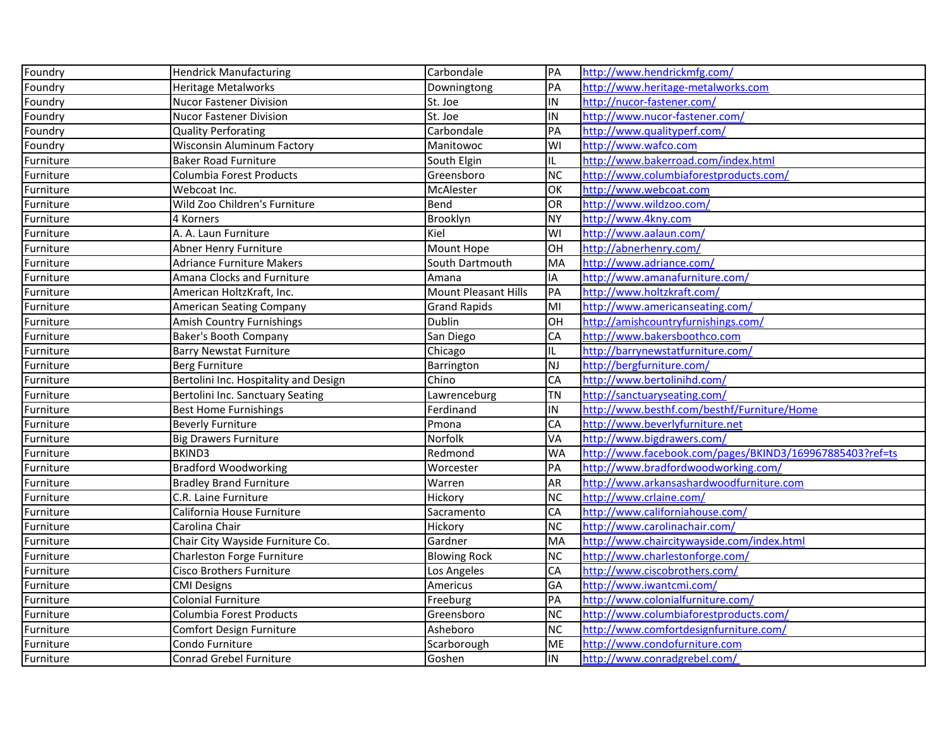| Foundry   | <b>Hendrick Manufacturing</b>         | Carbondale                  | PA        | http://www.hendrickmfg.com/                              |
|-----------|---------------------------------------|-----------------------------|-----------|----------------------------------------------------------|
| Foundry   | Heritage Metalworks                   | Downingtong                 | PA        | http://www.heritage-metalworks.com                       |
| Foundry   | <b>Nucor Fastener Division</b>        | St. Joe                     | IN        | http://nucor-fastener.com/                               |
| Foundry   | <b>Nucor Fastener Division</b>        | St. Joe                     | IN        | http://www.nucor-fastener.com/                           |
| Foundry   | <b>Quality Perforating</b>            | Carbondale                  | PA        | http://www.qualityperf.com/                              |
| Foundry   | Wisconsin Aluminum Factory            | Manitowoc                   | WI        | http://www.wafco.com                                     |
| Furniture | <b>Baker Road Furniture</b>           | South Elgin                 | IL.       | http://www.bakerroad.com/index.html                      |
| Furniture | Columbia Forest Products              | Greensboro                  | <b>NC</b> | http://www.columbiaforestproducts.com/                   |
| Furniture | Webcoat Inc.                          | McAlester                   | OK        | http://www.webcoat.com                                   |
| Furniture | Wild Zoo Children's Furniture         | Bend                        | OR        | http://www.wildzoo.com/                                  |
| Furniture | 4 Korners                             | Brooklyn                    | NY        | http://www.4kny.com                                      |
| Furniture | A. A. Laun Furniture                  | Kiel                        | WI        | http://www.aalaun.com/                                   |
| Furniture | Abner Henry Furniture                 | Mount Hope                  | OH        | http://abnerhenry.com/                                   |
| Furniture | <b>Adriance Furniture Makers</b>      | South Dartmouth             | MA        | http://www.adriance.com/                                 |
| Furniture | Amana Clocks and Furniture            | Amana                       | IA        | http://www.amanafurniture.com/                           |
| Furniture | American HoltzKraft, Inc.             | <b>Mount Pleasant Hills</b> | PA        | http://www.holtzkraft.com/                               |
| Furniture | American Seating Company              | <b>Grand Rapids</b>         | MI        | http://www.americanseating.com/                          |
| Furniture | Amish Country Furnishings             | Dublin                      | OH        | http://amishcountryfurnishings.com/                      |
| Furniture | <b>Baker's Booth Company</b>          | San Diego                   | CA        | http://www.bakersboothco.com                             |
| Furniture | <b>Barry Newstat Furniture</b>        | Chicago                     | IL        | http://barrynewstatfurniture.com/                        |
| Furniture | Berg Furniture                        | Barrington                  | NJ        | http://bergfurniture.com/                                |
| Furniture | Bertolini Inc. Hospitality and Design | Chino                       | CA        | http://www.bertolinihd.com/                              |
| Furniture | Bertolini Inc. Sanctuary Seating      | Lawrenceburg                | <b>TN</b> | http://sanctuaryseating.com/                             |
| Furniture | <b>Best Home Furnishings</b>          | Ferdinand                   | IN        | http://www.besthf.com/besthf/Furniture/Home              |
| Furniture | <b>Beverly Furniture</b>              | Pmona                       | CA        | http://www.beverlyfurniture.net                          |
| Furniture | <b>Big Drawers Furniture</b>          | Norfolk                     | VA        | http://www.bigdrawers.com/                               |
| Furniture | BKIND3                                | Redmond                     | <b>WA</b> | http://www.facebook.com/pages/BKIND3/169967885403?ref=ts |
| Furniture | <b>Bradford Woodworking</b>           | Worcester                   | PA        | http://www.bradfordwoodworking.com/                      |
| Furniture | <b>Bradley Brand Furniture</b>        | Warren                      | AR        | http://www.arkansashardwoodfurniture.com                 |
| Furniture | C.R. Laine Furniture                  | Hickory                     | <b>NC</b> | http://www.crlaine.com/                                  |
| Furniture | California House Furniture            | Sacramento                  | CA        | http://www.californiahouse.com/                          |
| Furniture | Carolina Chair                        | Hickory                     | <b>NC</b> | http://www.carolinachair.com/                            |
| Furniture | Chair City Wayside Furniture Co.      | Gardner                     | MA        | http://www.chaircitywayside.com/index.html               |
| Furniture | Charleston Forge Furniture            | <b>Blowing Rock</b>         | <b>NC</b> | http://www.charlestonforge.com/                          |
| Furniture | Cisco Brothers Furniture              | Los Angeles                 | CA        | http://www.ciscobrothers.com/                            |
| Furniture | <b>CMI Designs</b>                    | Americus                    | GA        | http://www.iwantcmi.com/                                 |
| Furniture | <b>Colonial Furniture</b>             | Freeburg                    | PA        | http://www.colonialfurniture.com/                        |
| Furniture | Columbia Forest Products              | Greensboro                  | <b>NC</b> | http://www.columbiaforestproducts.com/                   |
| Furniture | Comfort Design Furniture              | Asheboro                    | <b>NC</b> | http://www.comfortdesignfurniture.com/                   |
| Furniture | Condo Furniture                       | Scarborough                 | <b>ME</b> | http://www.condofurniture.com                            |
| Furniture | Conrad Grebel Furniture               | Goshen                      | IN        | http://www.conradgrebel.com/                             |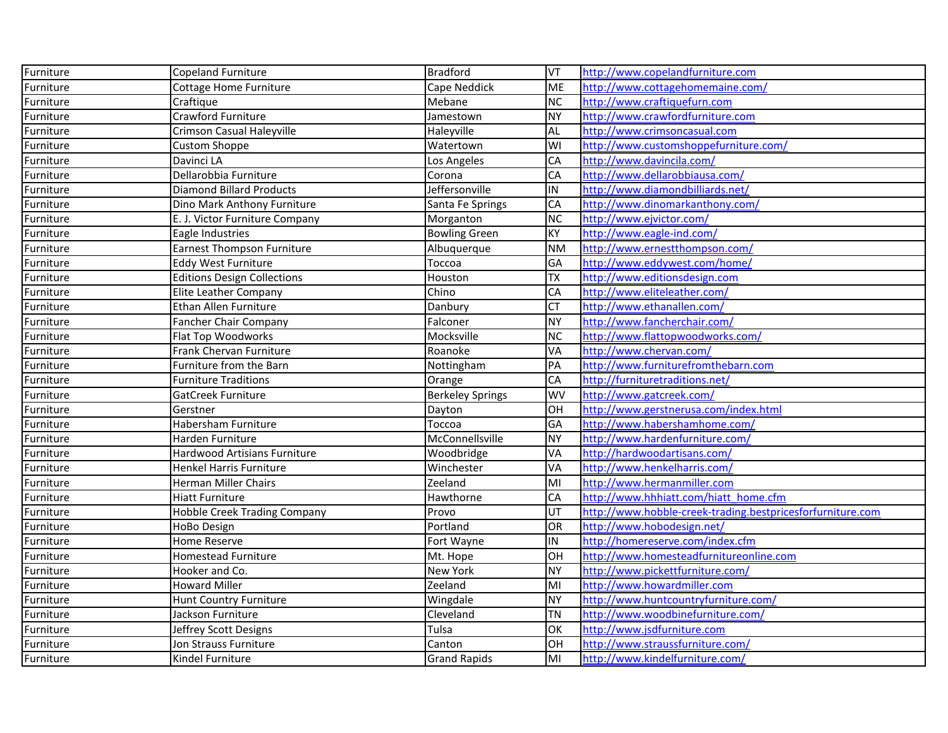| Furniture | <b>Copeland Furniture</b>           | <b>Bradford</b>         | <b>VT</b> | http://www.copelandfurniture.com                           |
|-----------|-------------------------------------|-------------------------|-----------|------------------------------------------------------------|
| Furniture | Cottage Home Furniture              | Cape Neddick            | <b>ME</b> | http://www.cottagehomemaine.com/                           |
| Furniture | Craftique                           | Mebane                  | <b>NC</b> | http://www.craftiquefurn.com                               |
| Furniture | Crawford Furniture                  | Jamestown               | <b>NY</b> | http://www.crawfordfurniture.com                           |
| Furniture | <b>Crimson Casual Haleyville</b>    | Haleyville              | <b>AL</b> | http://www.crimsoncasual.com                               |
| Furniture | <b>Custom Shoppe</b>                | Watertown               | WI        | http://www.customshoppefurniture.com/                      |
| Furniture | Davinci LA                          | Los Angeles             | CA        | http://www.davincila.com/                                  |
| Furniture | Dellarobbia Furniture               | Corona                  | <b>CA</b> | http://www.dellarobbiausa.com/                             |
| Furniture | <b>Diamond Billard Products</b>     | Jeffersonville          | IN        | http://www.diamondbilliards.net/                           |
| Furniture | Dino Mark Anthony Furniture         | Santa Fe Springs        | CA        | http://www.dinomarkanthony.com/                            |
| Furniture | E. J. Victor Furniture Company      | Morganton               | <b>NC</b> | http://www.ejvictor.com/                                   |
| Furniture | Eagle Industries                    | <b>Bowling Green</b>    | KY        | http://www.eagle-ind.com/                                  |
| Furniture | <b>Earnest Thompson Furniture</b>   | Albuquerque             | <b>NM</b> | http://www.ernestthompson.com/                             |
| Furniture | <b>Eddy West Furniture</b>          | Тоссоа                  | GA        | http://www.eddywest.com/home/                              |
| Furniture | <b>Editions Design Collections</b>  | Houston                 | <b>TX</b> | http://www.editionsdesign.com                              |
| Furniture | Elite Leather Company               | Chino                   | CA        | http://www.eliteleather.com/                               |
| Furniture | Ethan Allen Furniture               | Danbury                 | <b>CT</b> | http://www.ethanallen.com/                                 |
| Furniture | Fancher Chair Company               | Falconer                | <b>NY</b> | http://www.fancherchair.com/                               |
| Furniture | Flat Top Woodworks                  | Mocksville              | <b>NC</b> | http://www.flattopwoodworks.com/                           |
| Furniture | Frank Chervan Furniture             | Roanoke                 | VA        | http://www.chervan.com/                                    |
| Furniture | Furniture from the Barn             | Nottingham              | PA        | http://www.furniturefromthebarn.com                        |
| Furniture | <b>Furniture Traditions</b>         | Orange                  | <b>CA</b> | http://furnituretraditions.net/                            |
| Furniture | GatCreek Furniture                  | <b>Berkeley Springs</b> | <b>WV</b> | http://www.gatcreek.com/                                   |
| Furniture | Gerstner                            | Dayton                  | OH        | http://www.gerstnerusa.com/index.html                      |
| Furniture | Habersham Furniture                 | Toccoa                  | GA        | http://www.habershamhome.com/                              |
| Furniture | Harden Furniture                    | McConnellsville         | <b>NY</b> | http://www.hardenfurniture.com/                            |
| Furniture | Hardwood Artisians Furniture        | Woodbridge              | VA        | http://hardwoodartisans.com/                               |
| Furniture | Henkel Harris Furniture             | Winchester              | VA        | http://www.henkelharris.com/                               |
| Furniture | <b>Herman Miller Chairs</b>         | Zeeland                 | MI        | http://www.hermanmiller.com                                |
| Furniture | <b>Hiatt Furniture</b>              | Hawthorne               | <b>CA</b> | http://www.hhhiatt.com/hiatt_home.cfm                      |
| Furniture | <b>Hobble Creek Trading Company</b> | Provo                   | UT        | http://www.hobble-creek-trading.bestpricesforfurniture.com |
| Furniture | HoBo Design                         | Portland                | OR        | http://www.hobodesign.net/                                 |
| Furniture | Home Reserve                        | Fort Wayne              | IN        | http://homereserve.com/index.cfm                           |
| Furniture | <b>Homestead Furniture</b>          | Mt. Hope                | OH        | http://www.homesteadfurnitureonline.com                    |
| Furniture | Hooker and Co.                      | <b>New York</b>         | <b>NY</b> | http://www.pickettfurniture.com/                           |
| Furniture | <b>Howard Miller</b>                | Zeeland                 | MI        | http://www.howardmiller.com                                |
| Furniture | Hunt Country Furniture              | Wingdale                | <b>NY</b> | http://www.huntcountryfurniture.com/                       |
| Furniture | Jackson Furniture                   | Cleveland               | <b>TN</b> | http://www.woodbinefurniture.com/                          |
| Furniture | Jeffrey Scott Designs               | Tulsa                   | OK        | http://www.jsdfurniture.com                                |
| Furniture | Jon Strauss Furniture               | Canton                  | OH        | http://www.straussfurniture.com/                           |
| Furniture | Kindel Furniture                    | <b>Grand Rapids</b>     | MI        | http://www.kindelfurniture.com/                            |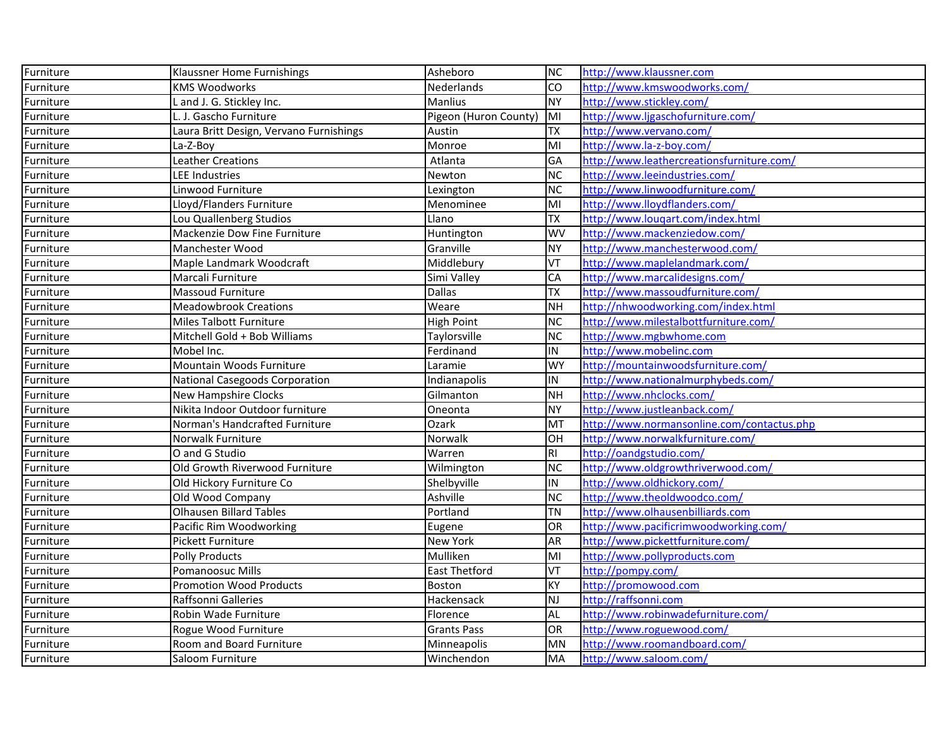| Furniture | Klaussner Home Furnishings              | Asheboro              | NC        | http://www.klaussner.com                   |
|-----------|-----------------------------------------|-----------------------|-----------|--------------------------------------------|
| Furniture | <b>KMS Woodworks</b>                    | <b>Nederlands</b>     | <b>CO</b> | http://www.kmswoodworks.com/               |
| Furniture | L and J. G. Stickley Inc.               | <b>Manlius</b>        | <b>NY</b> | http://www.stickley.com/                   |
| Furniture | L. J. Gascho Furniture                  | Pigeon (Huron County) | MI        | http://www.ljgaschofurniture.com/          |
| Furniture | Laura Britt Design, Vervano Furnishings | Austin                | ТX        | http://www.vervano.com/                    |
| Furniture | La-Z-Boy                                | Monroe                | MI        | http://www.la-z-boy.com/                   |
| Furniture | <b>Leather Creations</b>                | Atlanta               | GA        | http://www.leathercreationsfurniture.com/  |
| Furniture | <b>LEE Industries</b>                   | Newton                | <b>NC</b> | http://www.leeindustries.com/              |
| Furniture | Linwood Furniture                       | Lexington             | <b>NC</b> | http://www.linwoodfurniture.com/           |
| Furniture | Lloyd/Flanders Furniture                | Menominee             | MI        | http://www.lloydflanders.com/              |
| Furniture | Lou Quallenberg Studios                 | Llano                 | TX        | http://www.lougart.com/index.html          |
| Furniture | Mackenzie Dow Fine Furniture            | Huntington            | <b>WV</b> | http://www.mackenziedow.com/               |
| Furniture | Manchester Wood                         | Granville             | <b>NY</b> | http://www.manchesterwood.com/             |
| Furniture | Maple Landmark Woodcraft                | Middlebury            | VT        | http://www.maplelandmark.com/              |
| Furniture | Marcali Furniture                       | Simi Valley           | CA        | http://www.marcalidesigns.com/             |
| Furniture | <b>Massoud Furniture</b>                | <b>Dallas</b>         | TΧ        | http://www.massoudfurniture.com/           |
| Furniture | <b>Meadowbrook Creations</b>            | Weare                 | <b>NH</b> | http://nhwoodworking.com/index.html        |
| Furniture | Miles Talbott Furniture                 | <b>High Point</b>     | <b>NC</b> | http://www.milestalbottfurniture.com/      |
| Furniture | Mitchell Gold + Bob Williams            | Taylorsville          | <b>NC</b> | http://www.mgbwhome.com                    |
| Furniture | Mobel Inc.                              | Ferdinand             | IN        | http://www.mobelinc.com                    |
| Furniture | Mountain Woods Furniture                | Laramie               | WY        | http://mountainwoodsfurniture.com/         |
| Furniture | National Casegoods Corporation          | Indianapolis          | IN        | http://www.nationalmurphybeds.com/         |
| Furniture | <b>New Hampshire Clocks</b>             | Gilmanton             | <b>NH</b> | http://www.nhclocks.com/                   |
| Furniture | Nikita Indoor Outdoor furniture         | Oneonta               | <b>NY</b> | http://www.justleanback.com/               |
| Furniture | Norman's Handcrafted Furniture          | Ozark                 | MT        | http://www.normansonline.com/contactus.php |
| Furniture | Norwalk Furniture                       | Norwalk               | OH        | http://www.norwalkfurniture.com/           |
| Furniture | O and G Studio                          | Warren                | RI        | http://oandgstudio.com/                    |
| Furniture | Old Growth Riverwood Furniture          | Wilmington            | <b>NC</b> | http://www.oldgrowthriverwood.com/         |
| Furniture | Old Hickory Furniture Co                | Shelbyville           | IN        | http://www.oldhickory.com/                 |
| Furniture | Old Wood Company                        | Ashville              | <b>NC</b> | http://www.theoldwoodco.com/               |
| Furniture | <b>Olhausen Billard Tables</b>          | Portland              | ΤN        | http://www.olhausenbilliards.com           |
| Furniture | Pacific Rim Woodworking                 | Eugene                | OR        | http://www.pacificrimwoodworking.com/      |
| Furniture | <b>Pickett Furniture</b>                | <b>New York</b>       | AR        | http://www.pickettfurniture.com/           |
| Furniture | <b>Polly Products</b>                   | Mulliken              | MI        | http://www.pollyproducts.com               |
| Furniture | Pomanoosuc Mills                        | <b>East Thetford</b>  | VT        | http://pompy.com/                          |
| Furniture | <b>Promotion Wood Products</b>          | <b>Boston</b>         | <b>KY</b> | http://promowood.com                       |
| Furniture | Raffsonni Galleries                     | Hackensack            | NJ        | http://raffsonni.com                       |
| Furniture | Robin Wade Furniture                    | Florence              | AL        | http://www.robinwadefurniture.com/         |
| Furniture | Rogue Wood Furniture                    | <b>Grants Pass</b>    | OR        | http://www.roguewood.com/                  |
| Furniture | Room and Board Furniture                | Minneapolis           | <b>MN</b> | http://www.roomandboard.com/               |
| Furniture | Saloom Furniture                        | Winchendon            | <b>MA</b> | http://www.saloom.com/                     |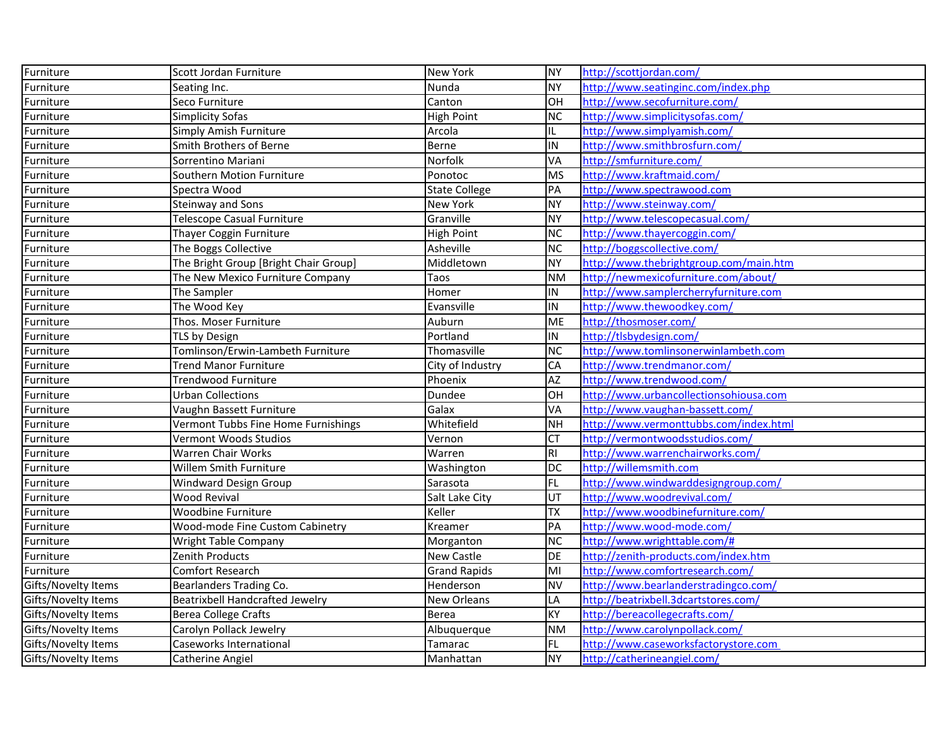| Furniture                  | Scott Jordan Furniture                 | New York             | <b>NY</b>       | http://scottjordan.com/                |
|----------------------------|----------------------------------------|----------------------|-----------------|----------------------------------------|
| Furniture                  | Seating Inc.                           | Nunda                | <b>NY</b>       | http://www.seatinginc.com/index.php    |
| Furniture                  | Seco Furniture                         | Canton               | lон             | http://www.secofurniture.com/          |
| Furniture                  | <b>Simplicity Sofas</b>                | High Point           | <b>NC</b>       | http://www.simplicitysofas.com/        |
| Furniture                  | Simply Amish Furniture                 | Arcola               | IL.             | http://www.simplyamish.com/            |
| Furniture                  | Smith Brothers of Berne                | Berne                | IN              | http://www.smithbrosfurn.com/          |
| Furniture                  | Sorrentino Mariani                     | Norfolk              | VA              | http://smfurniture.com/                |
| Furniture                  | Southern Motion Furniture              | Ponotoc              | <b>MS</b>       | http://www.kraftmaid.com/              |
| Furniture                  | Spectra Wood                           | <b>State College</b> | PA              | http://www.spectrawood.com             |
| Furniture                  | Steinway and Sons                      | New York             | NY.             | http://www.steinway.com/               |
| Furniture                  | <b>Telescope Casual Furniture</b>      | Granville            | NY              | http://www.telescopecasual.com/        |
| Furniture                  | Thayer Coggin Furniture                | <b>High Point</b>    | <b>NC</b>       | http://www.thayercoggin.com/           |
| Furniture                  | The Boggs Collective                   | Asheville            | <b>NC</b>       | http://boggscollective.com/            |
| Furniture                  | The Bright Group [Bright Chair Group]  | Middletown           | <b>NY</b>       | http://www.thebrightgroup.com/main.htm |
| Furniture                  | The New Mexico Furniture Company       | Taos                 | <b>NM</b>       | http://newmexicofurniture.com/about/   |
| Furniture                  | The Sampler                            | Homer                | IN              | http://www.samplercherryfurniture.com  |
| Furniture                  | The Wood Key                           | Evansville           | IN              | http://www.thewoodkey.com/             |
| Furniture                  | Thos. Moser Furniture                  | Auburn               | <b>ME</b>       | http://thosmoser.com/                  |
| Furniture                  | TLS by Design                          | Portland             | IN              | http://tlsbydesign.com/                |
| Furniture                  | Tomlinson/Erwin-Lambeth Furniture      | Thomasville          | <b>NC</b>       | http://www.tomlinsonerwinlambeth.com   |
| Furniture                  | Trend Manor Furniture                  | City of Industry     | CA              | http://www.trendmanor.com/             |
| Furniture                  | Trendwood Furniture                    | Phoenix              | AZ              | http://www.trendwood.com/              |
| Furniture                  | <b>Urban Collections</b>               | Dundee               | OH              | http://www.urbancollectionsohiousa.com |
| Furniture                  | Vaughn Bassett Furniture               | Galax                | VA              | http://www.vaughan-bassett.com/        |
| Furniture                  | Vermont Tubbs Fine Home Furnishings    | Whitefield           | <b>NH</b>       | http://www.vermonttubbs.com/index.html |
| Furniture                  | Vermont Woods Studios                  | Vernon               | Iст             | http://vermontwoodsstudios.com/        |
| Furniture                  | Warren Chair Works                     | Warren               | $\overline{R}$  | http://www.warrenchairworks.com/       |
| Furniture                  | Willem Smith Furniture                 | Washington           | <b>DC</b>       | http://willemsmith.com                 |
| Furniture                  | Windward Design Group                  | Sarasota             | FL              | http://www.windwarddesigngroup.com/    |
| Furniture                  | <b>Wood Revival</b>                    | Salt Lake City       | UT              | http://www.woodrevival.com/            |
| Furniture                  | Woodbine Furniture                     | Keller               | <b>TX</b>       | http://www.woodbinefurniture.com/      |
| Furniture                  | Wood-mode Fine Custom Cabinetry        | Kreamer              | PA              | http://www.wood-mode.com/              |
| Furniture                  | Wright Table Company                   | Morganton            | $\overline{NC}$ | http://www.wrighttable.com/#           |
| Furniture                  | Zenith Products                        | New Castle           | DE              | http://zenith-products.com/index.htm   |
| Furniture                  | Comfort Research                       | <b>Grand Rapids</b>  | MI              | http://www.comfortresearch.com/        |
| Gifts/Novelty Items        | Bearlanders Trading Co.                | Henderson            | <b>NV</b>       | http://www.bearlanderstradingco.com/   |
| Gifts/Novelty Items        | <b>Beatrixbell Handcrafted Jewelry</b> | New Orleans          | LA              | http://beatrixbell.3dcartstores.com/   |
| Gifts/Novelty Items        | <b>Berea College Crafts</b>            | <b>Berea</b>         | <b>KY</b>       | http://bereacollegecrafts.com/         |
| Gifts/Novelty Items        | Carolyn Pollack Jewelry                | Albuquerque          | <b>NM</b>       | http://www.carolynpollack.com/         |
| Gifts/Novelty Items        | Caseworks International                | Tamarac              | FL.             | http://www.caseworksfactorystore.com   |
| <b>Gifts/Novelty Items</b> | Catherine Angiel                       | Manhattan            | NY.             | http://catherineangiel.com/            |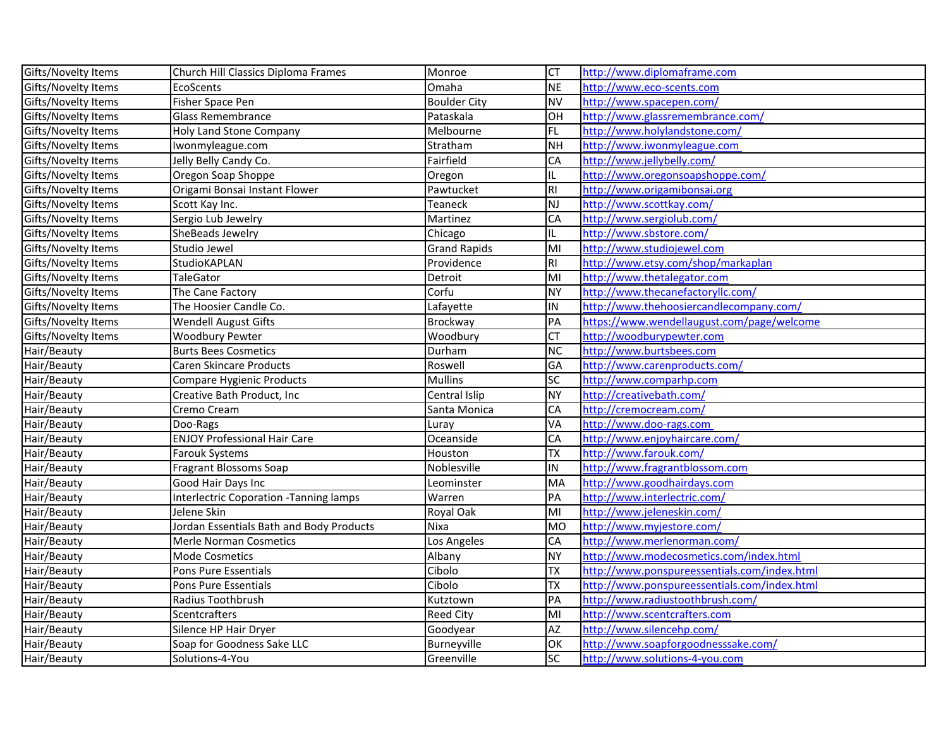| Gifts/Novelty Items | Church Hill Classics Diploma Frames      | Monroe              | Iст       | http://www.diplomaframe.com                  |
|---------------------|------------------------------------------|---------------------|-----------|----------------------------------------------|
| Gifts/Novelty Items | EcoScents                                | Omaha               | <b>NE</b> | http://www.eco-scents.com                    |
| Gifts/Novelty Items | Fisher Space Pen                         | <b>Boulder City</b> | <b>NV</b> | http://www.spacepen.com/                     |
| Gifts/Novelty Items | <b>Glass Remembrance</b>                 | Pataskala           | OH        | http://www.glassremembrance.com/             |
| Gifts/Novelty Items | <b>Holy Land Stone Company</b>           | Melbourne           | FL        | http://www.holylandstone.com/                |
| Gifts/Novelty Items | Iwonmyleague.com                         | Stratham            | <b>NH</b> | http://www.iwonmyleague.com                  |
| Gifts/Novelty Items | Jelly Belly Candy Co.                    | Fairfield           | CA        | http://www.jellybelly.com/                   |
| Gifts/Novelty Items | Oregon Soap Shoppe                       | Oregon              | IL        | http://www.oregonsoapshoppe.com/             |
| Gifts/Novelty Items | Origami Bonsai Instant Flower            | Pawtucket           | RI        | http://www.origamibonsai.org                 |
| Gifts/Novelty Items | Scott Kay Inc.                           | Teaneck             | <b>NJ</b> | http://www.scottkay.com/                     |
| Gifts/Novelty Items | Sergio Lub Jewelry                       | Martinez            | CA        | http://www.sergiolub.com/                    |
| Gifts/Novelty Items | SheBeads Jewelry                         | Chicago             | IL.       | http://www.sbstore.com/                      |
| Gifts/Novelty Items | Studio Jewel                             | <b>Grand Rapids</b> | MI        | http://www.studiojewel.com                   |
| Gifts/Novelty Items | StudioKAPLAN                             | Providence          | RI.       | http://www.etsy.com/shop/markaplan           |
| Gifts/Novelty Items | <b>TaleGator</b>                         | Detroit             | MI        | http://www.thetalegator.com                  |
| Gifts/Novelty Items | The Cane Factory                         | Corfu               | <b>NY</b> | http://www.thecanefactoryllc.com/            |
| Gifts/Novelty Items | The Hoosier Candle Co.                   | Lafayette           | IN        | http://www.thehoosiercandlecompany.com/      |
| Gifts/Novelty Items | <b>Wendell August Gifts</b>              | Brockway            | <b>PA</b> | https://www.wendellaugust.com/page/welcome   |
| Gifts/Novelty Items | Woodbury Pewter                          | Woodbury            | <b>CT</b> | http://woodburypewter.com                    |
| Hair/Beauty         | <b>Burts Bees Cosmetics</b>              | Durham              | <b>NC</b> | http://www.burtsbees.com                     |
| Hair/Beauty         | Caren Skincare Products                  | Roswell             | GA        | http://www.carenproducts.com/                |
| Hair/Beauty         | Compare Hygienic Products                | <b>Mullins</b>      | SC        | http://www.comparhp.com                      |
| Hair/Beauty         | Creative Bath Product, Inc               | Central Islip       | <b>NY</b> | http://creativebath.com/                     |
| Hair/Beauty         | Cremo Cream                              | Santa Monica        | CA        | http://cremocream.com/                       |
| Hair/Beauty         | Doo-Rags                                 | Luray               | VA        | http://www.doo-rags.com                      |
| Hair/Beauty         | <b>ENJOY Professional Hair Care</b>      | Oceanside           | CA        | http://www.enjoyhaircare.com/                |
| Hair/Beauty         | <b>Farouk Systems</b>                    | Houston             | <b>TX</b> | http://www.farouk.com/                       |
| Hair/Beauty         | <b>Fragrant Blossoms Soap</b>            | Noblesville         | IN        | http://www.fragrantblossom.com               |
| Hair/Beauty         | Good Hair Days Inc                       | Leominster          | MA        | http://www.goodhairdays.com                  |
| Hair/Beauty         | Interlectric Coporation - Tanning lamps  | Warren              | PA        | http://www.interlectric.com/                 |
| Hair/Beauty         | Jelene Skin                              | Royal Oak           | MI        | http://www.jeleneskin.com/                   |
| Hair/Beauty         | Jordan Essentials Bath and Body Products | Nixa                | <b>MO</b> | http://www.myjestore.com/                    |
| Hair/Beauty         | <b>Merle Norman Cosmetics</b>            | Los Angeles         | CA        | http://www.merlenorman.com/                  |
| Hair/Beauty         | <b>Mode Cosmetics</b>                    | Albany              | <b>NY</b> | http://www.modecosmetics.com/index.html      |
| Hair/Beauty         | Pons Pure Essentials                     | Cibolo              | TX        | http://www.ponspureessentials.com/index.html |
| Hair/Beauty         | Pons Pure Essentials                     | Cibolo              | <b>TX</b> | http://www.ponspureessentials.com/index.html |
| Hair/Beauty         | Radius Toothbrush                        | Kutztown            | <b>PA</b> | http://www.radiustoothbrush.com/             |
| Hair/Beauty         | Scentcrafters                            | <b>Reed City</b>    | MI        | http://www.scentcrafters.com                 |
| Hair/Beauty         | Silence HP Hair Dryer                    | Goodyear            | <b>AZ</b> | http://www.silencehp.com/                    |
| Hair/Beauty         | Soap for Goodness Sake LLC               | Burneyville         | OK        | http://www.soapforgoodnesssake.com/          |
| Hair/Beauty         | Solutions-4-You                          | Greenville          | <b>SC</b> | http://www.solutions-4-you.com               |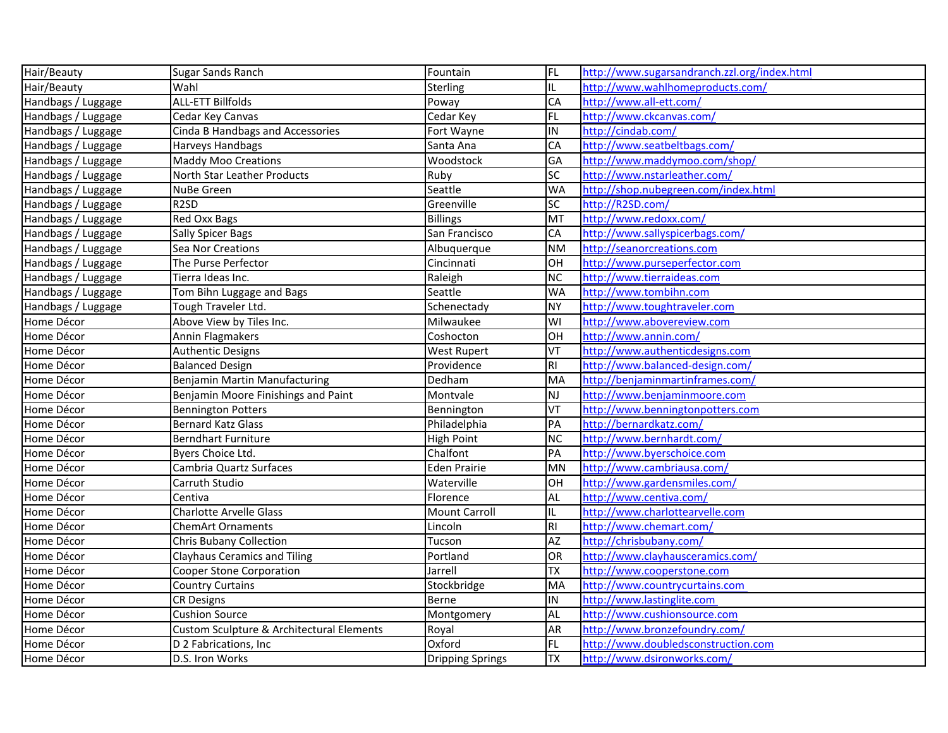| Hair/Beauty        | Sugar Sands Ranch                         | Fountain                | FL             | http://www.sugarsandranch.zzl.org/index.html |
|--------------------|-------------------------------------------|-------------------------|----------------|----------------------------------------------|
| Hair/Beauty        | Wahl                                      | Sterling                | IL.            | http://www.wahlhomeproducts.com/             |
| Handbags / Luggage | <b>ALL-ETT Billfolds</b>                  | Poway                   | <b>CA</b>      | http://www.all-ett.com/                      |
| Handbags / Luggage | Cedar Key Canvas                          | Cedar Key               | FL             | http://www.ckcanvas.com/                     |
| Handbags / Luggage | Cinda B Handbags and Accessories          | Fort Wayne              | IN             | http://cindab.com/                           |
| Handbags / Luggage | Harveys Handbags                          | Santa Ana               | <b>CA</b>      | http://www.seatbeltbags.com/                 |
| Handbags / Luggage | <b>Maddy Moo Creations</b>                | Woodstock               | GA             | http://www.maddymoo.com/shop/                |
| Handbags / Luggage | North Star Leather Products               | Ruby                    | <b>SC</b>      | http://www.nstarleather.com/                 |
| Handbags / Luggage | NuBe Green                                | Seattle                 | <b>WA</b>      | http://shop.nubegreen.com/index.html         |
| Handbags / Luggage | R <sub>2</sub> SD                         | Greenville              | SC             | http://R2SD.com/                             |
| Handbags / Luggage | Red Oxx Bags                              | <b>Billings</b>         | <b>MT</b>      | http://www.redoxx.com/                       |
| Handbags / Luggage | Sally Spicer Bags                         | San Francisco           | <b>CA</b>      | http://www.sallyspicerbags.com/              |
| Handbags / Luggage | Sea Nor Creations                         | Albuquerque             | <b>NM</b>      | http://seanorcreations.com                   |
| Handbags / Luggage | The Purse Perfector                       | Cincinnati              | OH             | http://www.purseperfector.com                |
| Handbags / Luggage | Tierra Ideas Inc.                         | Raleigh                 | <b>NC</b>      | http://www.tierraideas.com                   |
| Handbags / Luggage | Tom Bihn Luggage and Bags                 | Seattle                 | <b>WA</b>      | http://www.tombihn.com                       |
| Handbags / Luggage | Tough Traveler Ltd.                       | Schenectady             | NY)            | http://www.toughtraveler.com                 |
| Home Décor         | Above View by Tiles Inc.                  | Milwaukee               | WI             | http://www.abovereview.com                   |
| Home Décor         | Annin Flagmakers                          | Coshocton               | OH             | http://www.annin.com/                        |
| Home Décor         | Authentic Designs                         | <b>West Rupert</b>      | VT             | http://www.authenticdesigns.com              |
| Home Décor         | <b>Balanced Design</b>                    | Providence              | $\overline{R}$ | http://www.balanced-design.com/              |
| Home Décor         | Benjamin Martin Manufacturing             | Dedham                  | MA             | http://benjaminmartinframes.com/             |
| Home Décor         | Benjamin Moore Finishings and Paint       | Montvale                | lnj            | http://www.benjaminmoore.com                 |
| Home Décor         | <b>Bennington Potters</b>                 | Bennington              | VT             | http://www.benningtonpotters.com             |
| Home Décor         | <b>Bernard Katz Glass</b>                 | Philadelphia            | PA             | http://bernardkatz.com/                      |
| Home Décor         | Berndhart Furniture                       | <b>High Point</b>       | <b>NC</b>      | http://www.bernhardt.com/                    |
| Home Décor         | Byers Choice Ltd.                         | Chalfont                | PA             | http://www.byerschoice.com                   |
| Home Décor         | Cambria Quartz Surfaces                   | <b>Eden Prairie</b>     | MN             | http://www.cambriausa.com/                   |
| Home Décor         | Carruth Studio                            | Waterville              | OH             | http://www.gardensmiles.com/                 |
| Home Décor         | Centiva                                   | Florence                | AL             | http://www.centiva.com/                      |
| Home Décor         | <b>Charlotte Arvelle Glass</b>            | <b>Mount Carroll</b>    | IL.            | http://www.charlottearvelle.com              |
| Home Décor         | <b>ChemArt Ornaments</b>                  | Lincoln                 | $\overline{R}$ | http://www.chemart.com/                      |
| Home Décor         | <b>Chris Bubany Collection</b>            | Tucson                  | <b>AZ</b>      | http://chrisbubany.com/                      |
| Home Décor         | <b>Clayhaus Ceramics and Tiling</b>       | Portland                | OR             | http://www.clayhausceramics.com/             |
| Home Décor         | <b>Cooper Stone Corporation</b>           | Jarrell                 | <b>TX</b>      | http://www.cooperstone.com                   |
| Home Décor         | <b>Country Curtains</b>                   | Stockbridge             | <b>MA</b>      | http://www.countrycurtains.com               |
| Home Décor         | <b>CR Designs</b>                         | Berne                   | IN             | http://www.lastinglite.com                   |
| Home Décor         | <b>Cushion Source</b>                     | Montgomery              | AL             | http://www.cushionsource.com                 |
| Home Décor         | Custom Sculpture & Architectural Elements | Royal                   | AR             | http://www.bronzefoundry.com/                |
| Home Décor         | D 2 Fabrications, Inc                     | Oxford                  | FL             | http://www.doubledsconstruction.com          |
| Home Décor         | D.S. Iron Works                           | <b>Dripping Springs</b> | TX             | http://www.dsironworks.com/                  |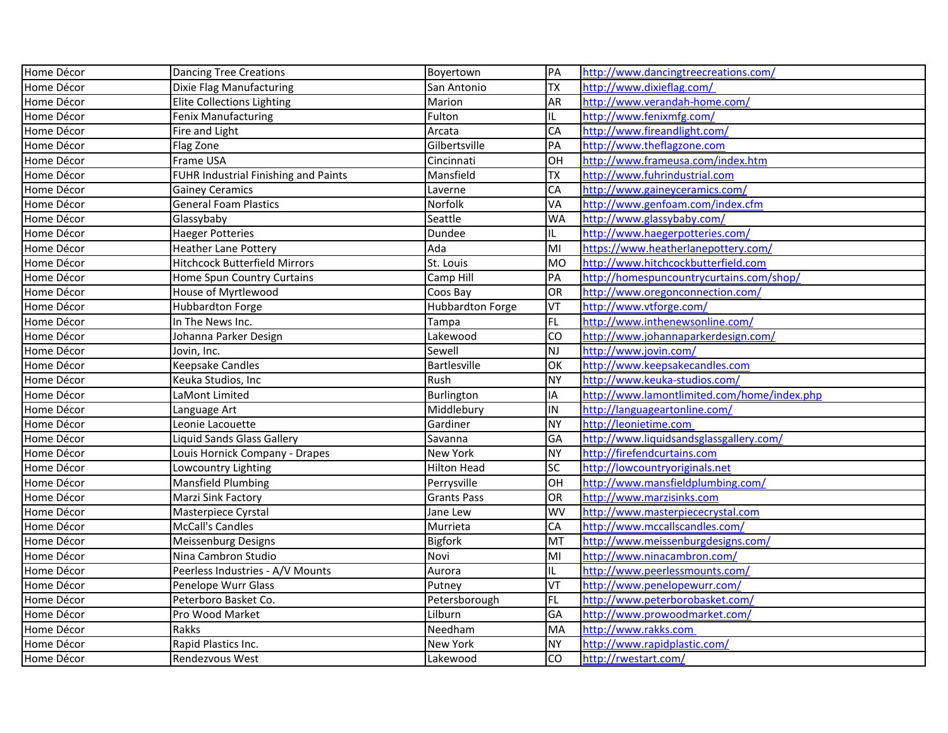| Home Décor | <b>Dancing Tree Creations</b>        | Boyertown          | PA              | http://www.dancingtreecreations.com/        |
|------------|--------------------------------------|--------------------|-----------------|---------------------------------------------|
| Home Décor | Dixie Flag Manufacturing             | San Antonio        | <b>TX</b>       | http://www.dixieflag.com/                   |
| Home Décor | <b>Elite Collections Lighting</b>    | Marion             | AR              | http://www.verandah-home.com/               |
| Home Décor | Fenix Manufacturing                  | Fulton             | IL.             | http://www.fenixmfg.com/                    |
| Home Décor | Fire and Light                       | Arcata             | CA              | http://www.fireandlight.com/                |
| Home Décor | Flag Zone                            | Gilbertsville      | PA              | http://www.theflagzone.com                  |
| Home Décor | Frame USA                            | Cincinnati         | OH              | http://www.frameusa.com/index.htm           |
| Home Décor | FUHR Industrial Finishing and Paints | Mansfield          | <b>TX</b>       | http://www.fuhrindustrial.com               |
| Home Décor | <b>Gainey Ceramics</b>               | Laverne            | CA              | http://www.gaineyceramics.com/              |
| Home Décor | <b>General Foam Plastics</b>         | Norfolk            | VA              | http://www.genfoam.com/index.cfm            |
| Home Décor | Glassybaby                           | Seattle            | <b>WA</b>       | http://www.glassybaby.com/                  |
| Home Décor | <b>Haeger Potteries</b>              | Dundee             | IL              | http://www.haegerpotteries.com/             |
| Home Décor | <b>Heather Lane Pottery</b>          | Ada                | MI              | https://www.heatherlanepottery.com/         |
| Home Décor | <b>Hitchcock Butterfield Mirrors</b> | St. Louis          | MO              | http://www.hitchcockbutterfield.com         |
| Home Décor | Home Spun Country Curtains           | Camp Hill          | PA              | http://homespuncountrycurtains.com/shop/    |
| Home Décor | House of Myrtlewood                  | Coos Bay           | OR              | http://www.oregonconnection.com/            |
| Home Décor | Hubbardton Forge                     | Hubbardton Forge   | <b>VT</b>       | http://www.vtforge.com/                     |
| Home Décor | In The News Inc.                     | Tampa              | FL              | http://www.inthenewsonline.com/             |
| Home Décor | Johanna Parker Design                | Lakewood           | CO              | http://www.johannaparkerdesign.com/         |
| Home Décor | Jovin, Inc.                          | Sewell             | NJ              | http://www.jovin.com/                       |
| Home Décor | <b>Keepsake Candles</b>              | Bartlesville       | $\overline{OK}$ | http://www.keepsakecandles.com              |
| Home Décor | Keuka Studios, Inc                   | Rush               | NY)             | http://www.keuka-studios.com/               |
| Home Décor | LaMont Limited                       | Burlington         | IA              | http://www.lamontlimited.com/home/index.php |
| Home Décor | Language Art                         | Middlebury         | IN              | http://languageartonline.com/               |
| Home Décor | Leonie Lacouette                     | Gardiner           | NY              | http://leonietime.com                       |
| Home Décor | Liquid Sands Glass Gallery           | Savanna            | GA              | http://www.liquidsandsglassgallery.com/     |
| Home Décor | Louis Hornick Company - Drapes       | New York           | <b>NY</b>       | http://firefendcurtains.com                 |
| Home Décor | Lowcountry Lighting                  | <b>Hilton Head</b> | <b>SC</b>       | http://lowcountryoriginals.net              |
| Home Décor | <b>Mansfield Plumbing</b>            | Perrysville        | OH              | http://www.mansfieldplumbing.com/           |
| Home Décor | Marzi Sink Factory                   | <b>Grants Pass</b> | OR              | http://www.marzisinks.com                   |
| Home Décor | Masterpiece Cyrstal                  | Jane Lew           | <b>WV</b>       | http://www.masterpiececrystal.com           |
| Home Décor | McCall's Candles                     | Murrieta           | CA              | http://www.mccallscandles.com/              |
| Home Décor | Meissenburg Designs                  | <b>Bigfork</b>     | MT              | http://www.meissenburgdesigns.com/          |
| Home Décor | Nina Cambron Studio                  | Novi               | MI              | http://www.ninacambron.com/                 |
| Home Décor | Peerless Industries - A/V Mounts     | Aurora             | IL.             | http://www.peerlessmounts.com/              |
| Home Décor | Penelope Wurr Glass                  | Putney             | lvt             | http://www.penelopewurr.com/                |
| Home Décor | Peterboro Basket Co.                 | Petersborough      | FL              | http://www.peterborobasket.com/             |
| Home Décor | Pro Wood Market                      | Lilburn            | GA              | http://www.prowoodmarket.com/               |
| Home Décor | Rakks                                | Needham            | MA              | http://www.rakks.com                        |
| Home Décor | Rapid Plastics Inc.                  | New York           | NY)             | http://www.rapidplastic.com/                |
| Home Décor | Rendezvous West                      | Lakewood           | CO              | http://rwestart.com/                        |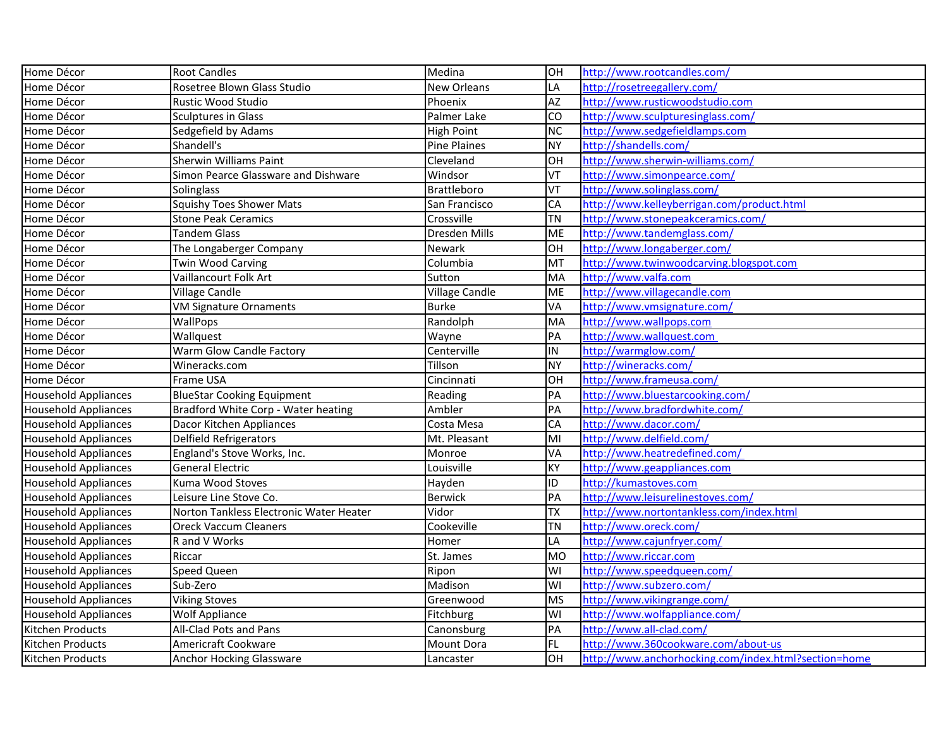| Home Décor                  | <b>Root Candles</b>                     | Medina                | HO                      | http://www.rootcandles.com/                          |
|-----------------------------|-----------------------------------------|-----------------------|-------------------------|------------------------------------------------------|
| Home Décor                  | Rosetree Blown Glass Studio             | <b>New Orleans</b>    | LA                      | http://rosetreegallery.com/                          |
| Home Décor                  | <b>Rustic Wood Studio</b>               | Phoenix               | $\overline{AZ}$         | http://www.rusticwoodstudio.com                      |
| Home Décor                  | <b>Sculptures in Glass</b>              | Palmer Lake           | Ю                       | http://www.sculpturesinglass.com/                    |
| Home Décor                  | Sedgefield by Adams                     | <b>High Point</b>     | <b>NC</b>               | http://www.sedgefieldlamps.com                       |
| Home Décor                  | Shandell's                              | <b>Pine Plaines</b>   | <b>NY</b>               | http://shandells.com/                                |
| Home Décor                  | <b>Sherwin Williams Paint</b>           | Cleveland             | OH                      | http://www.sherwin-williams.com/                     |
| Home Décor                  | Simon Pearce Glassware and Dishware     | Windsor               | VT                      | http://www.simonpearce.com/                          |
| Home Décor                  | Solinglass                              | <b>Brattleboro</b>    | <b>TV</b>               | http://www.solinglass.com/                           |
| Home Décor                  | <b>Squishy Toes Shower Mats</b>         | San Francisco         | CA                      | http://www.kelleyberrigan.com/product.html           |
| Home Décor                  | <b>Stone Peak Ceramics</b>              | Crossville            | <b>TN</b>               | http://www.stonepeakceramics.com/                    |
| Home Décor                  | Tandem Glass                            | Dresden Mills         | <b>ME</b>               | http://www.tandemglass.com/                          |
| Home Décor                  | The Longaberger Company                 | Newark                | OH                      | http://www.longaberger.com/                          |
| Home Décor                  | <b>Twin Wood Carving</b>                | Columbia              | lмт                     | http://www.twinwoodcarving.blogspot.com              |
| Home Décor                  | Vaillancourt Folk Art                   | Sutton                | MA                      | http://www.valfa.com                                 |
| Home Décor                  | Village Candle                          | <b>Village Candle</b> | ME                      | http://www.villagecandle.com                         |
| Home Décor                  | VM Signature Ornaments                  | <b>Burke</b>          | <b>VA</b>               | http://www.vmsignature.com/                          |
| Home Décor                  | WallPops                                | Randolph              | MA                      | http://www.wallpops.com                              |
| Home Décor                  | Wallquest                               | Wayne                 | PA                      | http://www.wallquest.com                             |
| Home Décor                  | Warm Glow Candle Factory                | Centerville           | İIN                     | http://warmglow.com/                                 |
| Home Décor                  | Wineracks.com                           | Tillson               | <b>NY</b>               | http://wineracks.com/                                |
| Home Décor                  | Frame USA                               | Cincinnati            | OH                      | http://www.frameusa.com/                             |
| <b>Household Appliances</b> | <b>BlueStar Cooking Equipment</b>       | Reading               | PA                      | http://www.bluestarcooking.com/                      |
| <b>Household Appliances</b> | Bradford White Corp - Water heating     | Ambler                | PA                      | http://www.bradfordwhite.com/                        |
| <b>Household Appliances</b> | Dacor Kitchen Appliances                | Costa Mesa            | <b>CA</b>               | http://www.dacor.com/                                |
| <b>Household Appliances</b> | Delfield Refrigerators                  | Mt. Pleasant          | lмı                     | http://www.delfield.com/                             |
| <b>Household Appliances</b> | England's Stove Works, Inc.             | Monroe                | VA                      | http://www.heatredefined.com/                        |
| <b>Household Appliances</b> | <b>General Electric</b>                 | Louisville            | KY                      | http://www.geappliances.com                          |
| <b>Household Appliances</b> | Kuma Wood Stoves                        | Hayden                | ID                      | http://kumastoves.com                                |
| <b>Household Appliances</b> | Leisure Line Stove Co.                  | <b>Berwick</b>        | <b>PA</b>               | http://www.leisurelinestoves.com/                    |
| <b>Household Appliances</b> | Norton Tankless Electronic Water Heater | Vidor                 | <b>TX</b>               | http://www.nortontankless.com/index.html             |
| <b>Household Appliances</b> | <b>Oreck Vaccum Cleaners</b>            | Cookeville            | ΤN                      | http://www.oreck.com/                                |
| <b>Household Appliances</b> | R and V Works                           | Homer                 | LA                      | http://www.cajunfryer.com/                           |
| <b>Household Appliances</b> | Riccar                                  | St. James             | <b>MO</b>               | http://www.riccar.com                                |
| <b>Household Appliances</b> | <b>Speed Queen</b>                      | Ripon                 | WI                      | http://www.speedqueen.com/                           |
| <b>Household Appliances</b> | Sub-Zero                                | Madison               | WI                      | http://www.subzero.com/                              |
| <b>Household Appliances</b> | <b>Viking Stoves</b>                    | Greenwood             | <b>MS</b>               | http://www.vikingrange.com/                          |
| <b>Household Appliances</b> | <b>Wolf Appliance</b>                   | Fitchburg             | $\overline{\mathsf{W}}$ | http://www.wolfappliance.com/                        |
| Kitchen Products            | All-Clad Pots and Pans                  | Canonsburg            | <b>PA</b>               | http://www.all-clad.com/                             |
| Kitchen Products            | Americraft Cookware                     | <b>Mount Dora</b>     | FL                      | http://www.360cookware.com/about-us                  |
| Kitchen Products            | <b>Anchor Hocking Glassware</b>         | Lancaster             | OH                      | http://www.anchorhocking.com/index.html?section=home |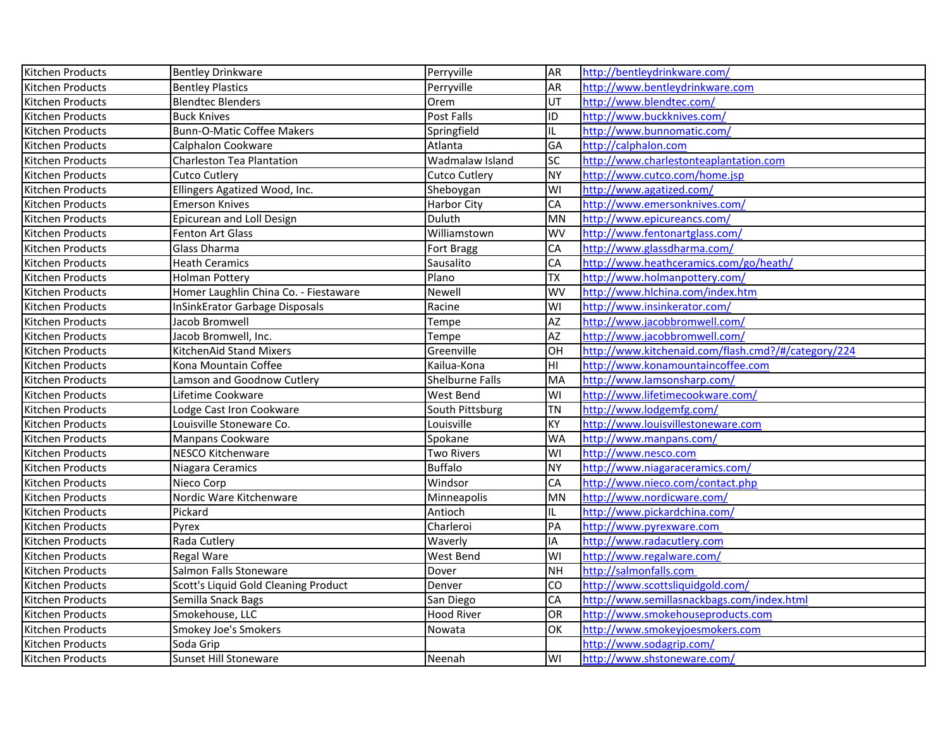| Kitchen Products | <b>Bentley Drinkware</b>              | Perryville             | AR <sub></sub>  | http://bentleydrinkware.com/                        |
|------------------|---------------------------------------|------------------------|-----------------|-----------------------------------------------------|
| Kitchen Products | <b>Bentley Plastics</b>               | Perryville             | AR              | http://www.bentleydrinkware.com                     |
| Kitchen Products | <b>Blendtec Blenders</b>              | Orem                   | UT              | http://www.blendtec.com/                            |
| Kitchen Products | <b>Buck Knives</b>                    | Post Falls             | ID              | http://www.buckknives.com/                          |
| Kitchen Products | <b>Bunn-O-Matic Coffee Makers</b>     | Springfield            | IL              | http://www.bunnomatic.com/                          |
| Kitchen Products | Calphalon Cookware                    | Atlanta                | GA              | http://calphalon.com                                |
| Kitchen Products | Charleston Tea Plantation             | Wadmalaw Island        | <b>SC</b>       | http://www.charlestonteaplantation.com              |
| Kitchen Products | <b>Cutco Cutlery</b>                  | <b>Cutco Cutlery</b>   | <b>NY</b>       | http://www.cutco.com/home.jsp                       |
| Kitchen Products | Ellingers Agatized Wood, Inc.         | Sheboygan              | WI              | http://www.agatized.com/                            |
| Kitchen Products | <b>Emerson Knives</b>                 | Harbor City            | CA              | http://www.emersonknives.com/                       |
| Kitchen Products | Epicurean and Loll Design             | <b>Duluth</b>          | <b>MN</b>       | http://www.epicureancs.com/                         |
| Kitchen Products | Fenton Art Glass                      | Williamstown           | WV              | http://www.fentonartglass.com/                      |
| Kitchen Products | Glass Dharma                          | Fort Bragg             | CA              | http://www.glassdharma.com/                         |
| Kitchen Products | <b>Heath Ceramics</b>                 | Sausalito              | CA              | http://www.heathceramics.com/go/heath/              |
| Kitchen Products | <b>Holman Pottery</b>                 | Plano                  | <b>TX</b>       | http://www.holmanpottery.com/                       |
| Kitchen Products | Homer Laughlin China Co. - Fiestaware | Newell                 | WV              | http://www.hlchina.com/index.htm                    |
| Kitchen Products | <b>InSinkErator Garbage Disposals</b> | Racine                 | WI              | http://www.insinkerator.com/                        |
| Kitchen Products | Jacob Bromwell                        | Tempe                  | $\overline{AZ}$ | http://www.jacobbromwell.com/                       |
| Kitchen Products | Jacob Bromwell, Inc.                  | Tempe                  | <b>AZ</b>       | http://www.jacobbromwell.com/                       |
| Kitchen Products | KitchenAid Stand Mixers               | Greenville             | OH              | http://www.kitchenaid.com/flash.cmd?/#/category/224 |
| Kitchen Products | Kona Mountain Coffee                  | Kailua-Kona            | HI              | http://www.konamountaincoffee.com                   |
| Kitchen Products | Lamson and Goodnow Cutlery            | <b>Shelburne Falls</b> | MA              | http://www.lamsonsharp.com/                         |
| Kitchen Products | Lifetime Cookware                     | West Bend              | WI              | http://www.lifetimecookware.com/                    |
| Kitchen Products | Lodge Cast Iron Cookware              | South Pittsburg        | <b>TN</b>       | http://www.lodgemfg.com/                            |
| Kitchen Products | Louisville Stoneware Co.              | Louisville             | KY              | http://www.louisvillestoneware.com                  |
| Kitchen Products | Manpans Cookware                      | Spokane                | <b>WA</b>       | http://www.manpans.com/                             |
| Kitchen Products | NESCO Kitchenware                     | <b>Two Rivers</b>      | WI              | http://www.nesco.com                                |
| Kitchen Products | Niagara Ceramics                      | <b>Buffalo</b>         | <b>NY</b>       | http://www.niagaraceramics.com/                     |
| Kitchen Products | Nieco Corp                            | Windsor                | CA              | http://www.nieco.com/contact.php                    |
| Kitchen Products | Nordic Ware Kitchenware               | Minneapolis            | MN              | http://www.nordicware.com/                          |
| Kitchen Products | Pickard                               | Antioch                | IL.             | http://www.pickardchina.com/                        |
| Kitchen Products | Pyrex                                 | Charleroi              | PA              | http://www.pyrexware.com                            |
| Kitchen Products | Rada Cutlery                          | Waverly                | IA              | http://www.radacutlery.com                          |
| Kitchen Products | Regal Ware                            | West Bend              | WI              | http://www.regalware.com/                           |
| Kitchen Products | Salmon Falls Stoneware                | Dover                  | <b>NH</b>       | http://salmonfalls.com                              |
| Kitchen Products | Scott's Liquid Gold Cleaning Product  | Denver                 | CO              | http://www.scottsliquidgold.com/                    |
| Kitchen Products | Semilla Snack Bags                    | San Diego              | CA              | http://www.semillasnackbags.com/index.html          |
| Kitchen Products | Smokehouse, LLC                       | <b>Hood River</b>      | OR              | http://www.smokehouseproducts.com                   |
| Kitchen Products | Smokey Joe's Smokers                  | Nowata                 | OK              | http://www.smokeyjoesmokers.com                     |
| Kitchen Products | Soda Grip                             |                        |                 | http://www.sodagrip.com/                            |
| Kitchen Products | <b>Sunset Hill Stoneware</b>          | Neenah                 | WI              | http://www.shstoneware.com/                         |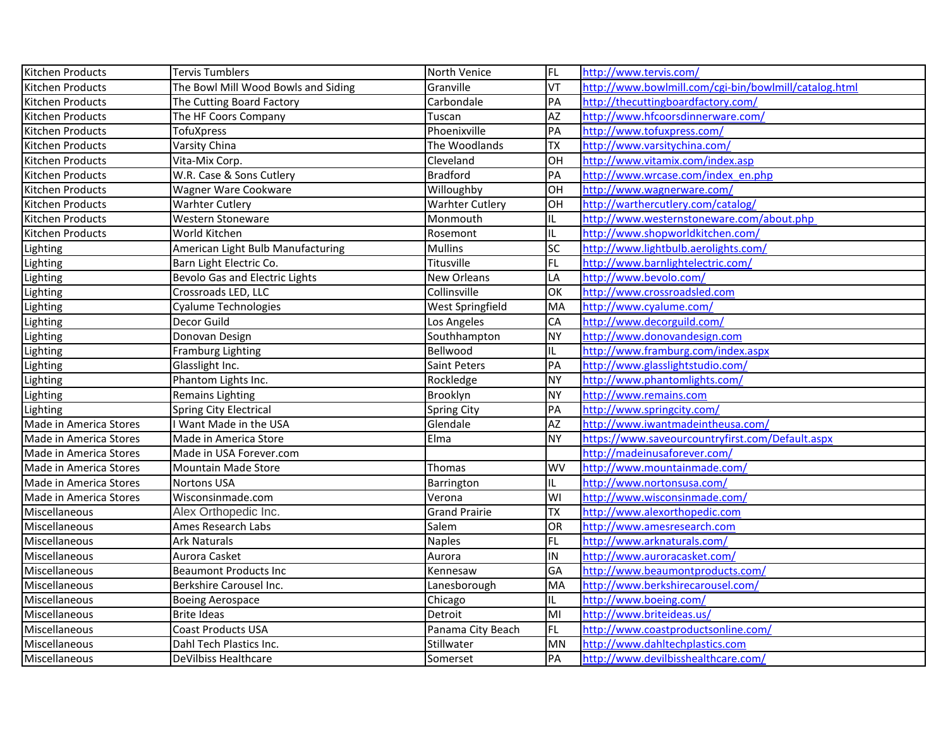| Kitchen Products       | Tervis Tumblers                       | North Venice           | FL              | http://www.tervis.com/                                |
|------------------------|---------------------------------------|------------------------|-----------------|-------------------------------------------------------|
| Kitchen Products       | The Bowl Mill Wood Bowls and Siding   | Granville              | VT              | http://www.bowlmill.com/cgi-bin/bowlmill/catalog.html |
| Kitchen Products       | The Cutting Board Factory             | Carbondale             | PA              | http://thecuttingboardfactory.com/                    |
| Kitchen Products       | The HF Coors Company                  | Tuscan                 | $\overline{AZ}$ | http://www.hfcoorsdinnerware.com/                     |
| Kitchen Products       | TofuXpress                            | Phoenixville           | PA              | http://www.tofuxpress.com/                            |
| Kitchen Products       | Varsity China                         | The Woodlands          | <b>TX</b>       | http://www.varsitychina.com/                          |
| Kitchen Products       | Vita-Mix Corp.                        | Cleveland              | OH              | http://www.vitamix.com/index.asp                      |
| Kitchen Products       | W.R. Case & Sons Cutlery              | <b>Bradford</b>        | PA              | http://www.wrcase.com/index_en.php                    |
| Kitchen Products       | Wagner Ware Cookware                  | Willoughby             | Іон             | http://www.wagnerware.com/                            |
| Kitchen Products       | <b>Warhter Cutlery</b>                | <b>Warhter Cutlery</b> | OH              | http://warthercutlery.com/catalog/                    |
| Kitchen Products       | Western Stoneware                     | Monmouth               | IL.             | http://www.westernstoneware.com/about.php             |
| Kitchen Products       | World Kitchen                         | Rosemont               | IL              | http://www.shopworldkitchen.com/                      |
| Lighting               | American Light Bulb Manufacturing     | <b>Mullins</b>         | SC              | http://www.lightbulb.aerolights.com/                  |
| Lighting               | Barn Light Electric Co.               | Titusville             | FL              | http://www.barnlightelectric.com/                     |
| Lighting               | <b>Bevolo Gas and Electric Lights</b> | <b>New Orleans</b>     | LA              | http://www.bevolo.com/                                |
| Lighting               | Crossroads LED, LLC                   | Collinsville           | lок             | http://www.crossroadsled.com                          |
| Lighting               | Cyalume Technologies                  | West Springfield       | MA              | http://www.cyalume.com/                               |
| Lighting               | Decor Guild                           | Los Angeles            | CA              | http://www.decorguild.com/                            |
| Lighting               | Donovan Design                        | Southhampton           | NY)             | http://www.donovandesign.com                          |
| Lighting               | <b>Framburg Lighting</b>              | Bellwood               | IL.             | http://www.framburg.com/index.aspx                    |
| Lighting               | Glasslight Inc.                       | Saint Peters           | PA              | http://www.glasslightstudio.com/                      |
| Lighting               | Phantom Lights Inc.                   | Rockledge              | NY)             | http://www.phantomlights.com/                         |
| Lighting               | Remains Lighting                      | Brooklyn               | NY)             | http://www.remains.com                                |
| Lighting               | Spring City Electrical                | <b>Spring City</b>     | PA              | http://www.springcity.com/                            |
| Made in America Stores | I Want Made in the USA                | Glendale               | <b>AZ</b>       | http://www.iwantmadeintheusa.com/                     |
| Made in America Stores | Made in America Store                 | Elma                   | <b>NY</b>       | https://www.saveourcountryfirst.com/Default.aspx      |
| Made in America Stores | Made in USA Forever.com               |                        |                 | http://madeinusaforever.com/                          |
| Made in America Stores | <b>Mountain Made Store</b>            | Thomas                 | <b>WV</b>       | http://www.mountainmade.com/                          |
| Made in America Stores | <b>Nortons USA</b>                    | Barrington             | IL.             | http://www.nortonsusa.com/                            |
| Made in America Stores | Wisconsinmade.com                     | Verona                 | <b>WI</b>       | http://www.wisconsinmade.com/                         |
| Miscellaneous          | Alex Orthopedic Inc.                  | <b>Grand Prairie</b>   | <b>TX</b>       | http://www.alexorthopedic.com                         |
| Miscellaneous          | Ames Research Labs                    | Salem                  | OR              | http://www.amesresearch.com                           |
| Miscellaneous          | <b>Ark Naturals</b>                   | <b>Naples</b>          | FL              | http://www.arknaturals.com/                           |
| Miscellaneous          | Aurora Casket                         | Aurora                 | IN              | http://www.auroracasket.com/                          |
| Miscellaneous          | <b>Beaumont Products Inc</b>          | Kennesaw               | GA              | http://www.beaumontproducts.com/                      |
| Miscellaneous          | Berkshire Carousel Inc.               | Lanesborough           | MA              | http://www.berkshirecarousel.com/                     |
| Miscellaneous          | <b>Boeing Aerospace</b>               | Chicago                | IL.             | http://www.boeing.com/                                |
| Miscellaneous          | <b>Brite Ideas</b>                    | Detroit                | MI              | http://www.briteideas.us/                             |
| Miscellaneous          | Coast Products USA                    | Panama City Beach      | FL              | http://www.coastproductsonline.com/                   |
| Miscellaneous          | Dahl Tech Plastics Inc.               | Stillwater             | MN              | http://www.dahltechplastics.com                       |
| Miscellaneous          | <b>DeVilbiss Healthcare</b>           | Somerset               | PA              | http://www.devilbisshealthcare.com/                   |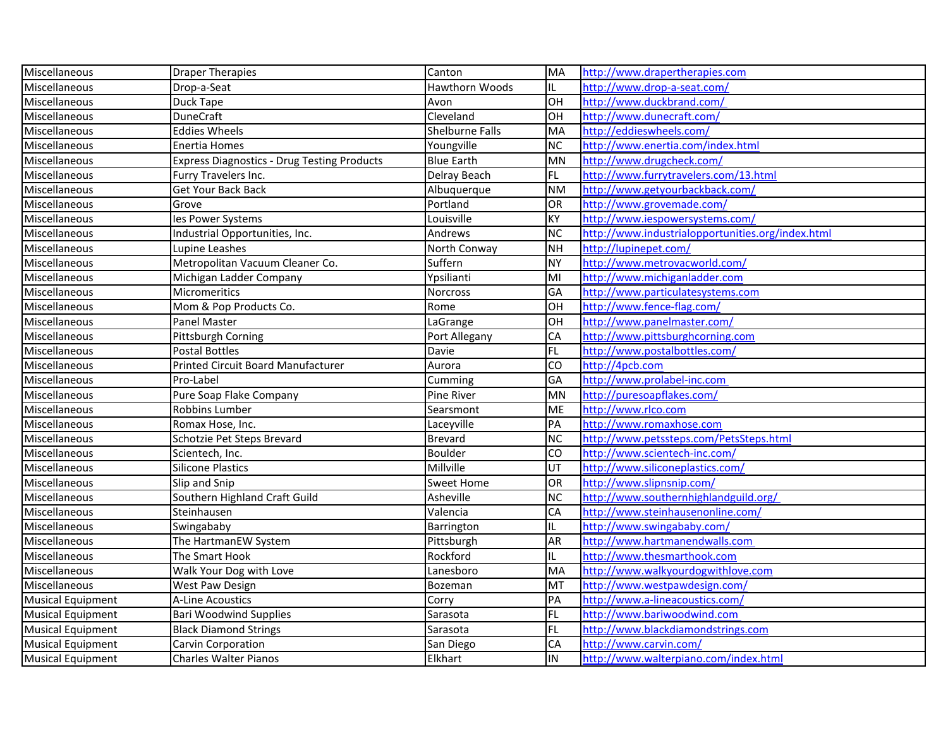| Miscellaneous            | <b>Draper Therapies</b>                            | Canton                 | MA             | http://www.drapertherapies.com                    |
|--------------------------|----------------------------------------------------|------------------------|----------------|---------------------------------------------------|
| Miscellaneous            | Drop-a-Seat                                        | Hawthorn Woods         | IL.            | http://www.drop-a-seat.com/                       |
| Miscellaneous            | Duck Tape                                          | Avon                   | OH             | http://www.duckbrand.com/                         |
| Miscellaneous            | <b>DuneCraft</b>                                   | Cleveland              | OH             | http://www.dunecraft.com/                         |
| Miscellaneous            | <b>Eddies Wheels</b>                               | <b>Shelburne Falls</b> | МA             | http://eddieswheels.com/                          |
| Miscellaneous            | Enertia Homes                                      | Youngville             | <b>NC</b>      | http://www.enertia.com/index.html                 |
| Miscellaneous            | <b>Express Diagnostics - Drug Testing Products</b> | <b>Blue Earth</b>      | MN             | http://www.drugcheck.com/                         |
| Miscellaneous            | Furry Travelers Inc.                               | Delray Beach           | FL.            | http://www.furrytravelers.com/13.html             |
| Miscellaneous            | Get Your Back Back                                 | Albuquerque            | <b>NM</b>      | http://www.getyourbackback.com/                   |
| Miscellaneous            | Grove                                              | Portland               | OR             | http://www.grovemade.com/                         |
| Miscellaneous            | les Power Systems                                  | Louisville             | KY             | http://www.iespowersystems.com/                   |
| Miscellaneous            | Industrial Opportunities, Inc.                     | Andrews                | <b>NC</b>      | http://www.industrialopportunities.org/index.html |
| Miscellaneous            | Lupine Leashes                                     | North Conway           | <b>NH</b>      | http://lupinepet.com/                             |
| Miscellaneous            | Metropolitan Vacuum Cleaner Co.                    | Suffern                | <b>NY</b>      | http://www.metrovacworld.com/                     |
| Miscellaneous            | Michigan Ladder Company                            | Ypsilianti             | MI             | http://www.michiganladder.com                     |
| Miscellaneous            | Micromeritics                                      | Norcross               | GA             | http://www.particulatesystems.com                 |
| Miscellaneous            | Mom & Pop Products Co.                             | Rome                   | OH             | http://www.fence-flag.com/                        |
| Miscellaneous            | Panel Master                                       | LaGrange               | OH             | http://www.panelmaster.com/                       |
| Miscellaneous            | Pittsburgh Corning                                 | Port Allegany          | CA             | http://www.pittsburghcorning.com                  |
| Miscellaneous            | Postal Bottles                                     | Davie                  | FL.            | http://www.postalbottles.com/                     |
| Miscellaneous            | Printed Circuit Board Manufacturer                 | Aurora                 | $\overline{c}$ | http://4pcb.com                                   |
| Miscellaneous            | Pro-Label                                          | Cumming                | GA             | http://www.prolabel-inc.com                       |
| Miscellaneous            | Pure Soap Flake Company                            | Pine River             | MN             | http://puresoapflakes.com/                        |
| Miscellaneous            | Robbins Lumber                                     | Searsmont              | <b>ME</b>      | http://www.rlco.com                               |
| Miscellaneous            | Romax Hose, Inc.                                   | Laceyville             | PA             | http://www.romaxhose.com                          |
| Miscellaneous            | Schotzie Pet Steps Brevard                         | <b>Brevard</b>         | <b>NC</b>      | http://www.petssteps.com/PetsSteps.html           |
| Miscellaneous            | Scientech, Inc.                                    | Boulder                | CO             | http://www.scientech-inc.com/                     |
| Miscellaneous            | Silicone Plastics                                  | Millville              | UT             | http://www.siliconeplastics.com/                  |
| Miscellaneous            | Slip and Snip                                      | Sweet Home             | OR             | http://www.slipnsnip.com/                         |
| Miscellaneous            | Southern Highland Craft Guild                      | Asheville              | <b>NC</b>      | http://www.southernhighlandguild.org/             |
| Miscellaneous            | Steinhausen                                        | Valencia               | CA             | http://www.steinhausenonline.com/                 |
| Miscellaneous            | Swingababy                                         | Barrington             | IL.            | http://www.swingababy.com/                        |
| Miscellaneous            | The HartmanEW System                               | Pittsburgh             | AR             | http://www.hartmanendwalls.com                    |
| Miscellaneous            | The Smart Hook                                     | Rockford               | IL.            | http://www.thesmarthook.com                       |
| Miscellaneous            | Walk Your Dog with Love                            | Lanesboro              | MA             | http://www.walkyourdogwithlove.com                |
| Miscellaneous            | West Paw Design                                    | Bozeman                | MT             | http://www.westpawdesign.com/                     |
| <b>Musical Equipment</b> | <b>A-Line Acoustics</b>                            | Corry                  | PA             | http://www.a-lineacoustics.com/                   |
| <b>Musical Equipment</b> | <b>Bari Woodwind Supplies</b>                      | Sarasota               | FL.            | http://www.bariwoodwind.com                       |
| <b>Musical Equipment</b> | <b>Black Diamond Strings</b>                       | Sarasota               | <b>FL</b>      | http://www.blackdiamondstrings.com                |
| <b>Musical Equipment</b> | Carvin Corporation                                 | San Diego              | CA             | http://www.carvin.com/                            |
| Musical Equipment        | <b>Charles Walter Pianos</b>                       | Elkhart                | IN             | http://www.walterpiano.com/index.html             |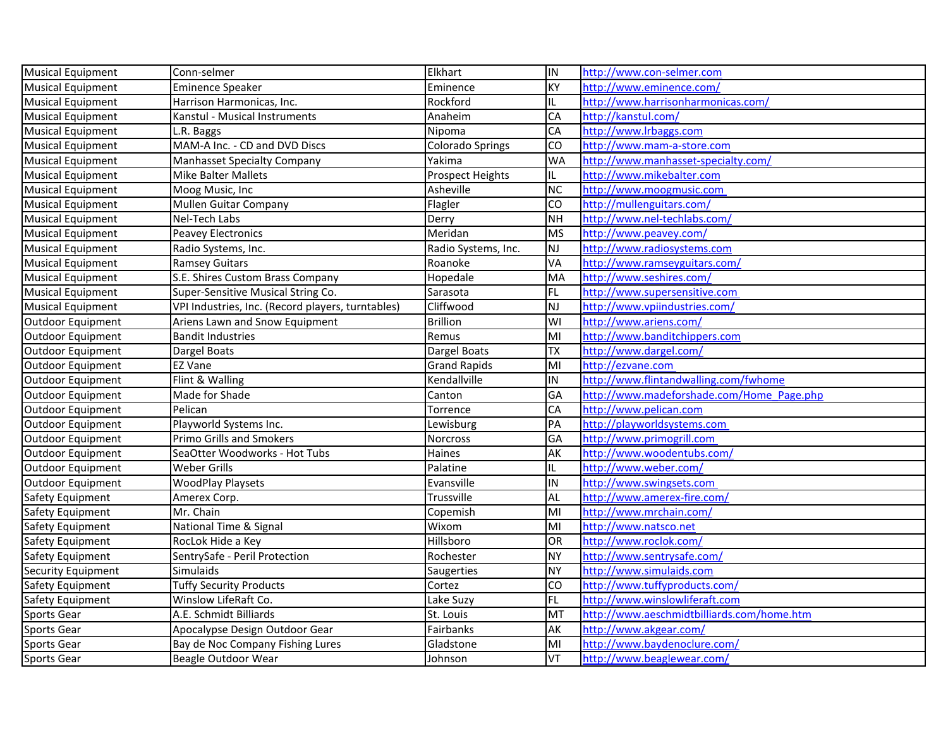| Musical Equipment        | Conn-selmer                                       | Elkhart                 | IN                     | http://www.con-selmer.com                  |
|--------------------------|---------------------------------------------------|-------------------------|------------------------|--------------------------------------------|
| <b>Musical Equipment</b> | <b>Eminence Speaker</b>                           | Eminence                | KY                     | http://www.eminence.com/                   |
| <b>Musical Equipment</b> | Harrison Harmonicas, Inc.                         | Rockford                | IL.                    | http://www.harrisonharmonicas.com/         |
| <b>Musical Equipment</b> | Kanstul - Musical Instruments                     | Anaheim                 | CA                     | http://kanstul.com/                        |
| <b>Musical Equipment</b> | L.R. Baggs                                        | Nipoma                  | CA                     | http://www.lrbaggs.com                     |
| <b>Musical Equipment</b> | MAM-A Inc. - CD and DVD Discs                     | <b>Colorado Springs</b> | lco                    | http://www.mam-a-store.com                 |
| <b>Musical Equipment</b> | <b>Manhasset Specialty Company</b>                | Yakima                  | <b>WA</b>              | http://www.manhasset-specialty.com/        |
| <b>Musical Equipment</b> | <b>Mike Balter Mallets</b>                        | <b>Prospect Heights</b> | IL.                    | http://www.mikebalter.com                  |
| <b>Musical Equipment</b> | Moog Music, Inc                                   | Asheville               | $\overline{\text{NC}}$ | http://www.moogmusic.com                   |
| <b>Musical Equipment</b> | Mullen Guitar Company                             | Flagler                 | <b>CO</b>              | http://mullenguitars.com/                  |
| <b>Musical Equipment</b> | Nel-Tech Labs                                     | Derry                   | lмн                    | http://www.nel-techlabs.com/               |
| <b>Musical Equipment</b> | Peavey Electronics                                | Meridan                 | <b>MS</b>              | http://www.peavey.com/                     |
| <b>Musical Equipment</b> | Radio Systems, Inc.                               | Radio Systems, Inc.     | NJ                     | http://www.radiosystems.com                |
| <b>Musical Equipment</b> | <b>Ramsey Guitars</b>                             | Roanoke                 | VA                     | http://www.ramseyguitars.com/              |
| <b>Musical Equipment</b> | S.E. Shires Custom Brass Company                  | Hopedale                | MA                     | http://www.seshires.com/                   |
| <b>Musical Equipment</b> | Super-Sensitive Musical String Co.                | Sarasota                | FL                     | http://www.supersensitive.com              |
| <b>Musical Equipment</b> | VPI Industries, Inc. (Record players, turntables) | Cliffwood               | NJ                     | http://www.vpiindustries.com/              |
| <b>Outdoor Equipment</b> | Ariens Lawn and Snow Equipment                    | <b>Brillion</b>         | WI                     | http://www.ariens.com/                     |
| <b>Outdoor Equipment</b> | <b>Bandit Industries</b>                          | Remus                   | lмı                    | http://www.banditchippers.com              |
| Outdoor Equipment        | Dargel Boats                                      | Dargel Boats            | <b>TX</b>              | http://www.dargel.com/                     |
| <b>Outdoor Equipment</b> | EZ Vane                                           | <b>Grand Rapids</b>     | MI                     | http://ezvane.com                          |
| <b>Outdoor Equipment</b> | Flint & Walling                                   | Kendallville            | İIN                    | http://www.flintandwalling.com/fwhome      |
| <b>Outdoor Equipment</b> | Made for Shade                                    | Canton                  | GA                     | http://www.madeforshade.com/Home Page.php  |
| Outdoor Equipment        | Pelican                                           | Torrence                | CA                     | http://www.pelican.com                     |
| <b>Outdoor Equipment</b> | Playworld Systems Inc.                            | Lewisburg               | PA                     | http://playworldsystems.com                |
| <b>Outdoor Equipment</b> | Primo Grills and Smokers                          | Norcross                | GA                     | http://www.primogrill.com                  |
| <b>Outdoor Equipment</b> | SeaOtter Woodworks - Hot Tubs                     | Haines                  | AK                     | http://www.woodentubs.com/                 |
| <b>Outdoor Equipment</b> | <b>Weber Grills</b>                               | Palatine                | IL.                    | http://www.weber.com/                      |
| <b>Outdoor Equipment</b> | <b>WoodPlay Playsets</b>                          | Evansville              | IN                     | http://www.swingsets.com                   |
| Safety Equipment         | Amerex Corp.                                      | Trussville              | <b>AL</b>              | http://www.amerex-fire.com/                |
| Safety Equipment         | Mr. Chain                                         | Copemish                | lмı                    | http://www.mrchain.com/                    |
| Safety Equipment         | National Time & Signal                            | Wixom                   | lмı                    | http://www.natsco.net                      |
| Safety Equipment         | RocLok Hide a Key                                 | Hillsboro               | OR                     | http://www.roclok.com/                     |
| Safety Equipment         | SentrySafe - Peril Protection                     | Rochester               | <b>NY</b>              | http://www.sentrysafe.com/                 |
| Security Equipment       | <b>Simulaids</b>                                  | Saugerties              | NY)                    | http://www.simulaids.com                   |
| Safety Equipment         | <b>Tuffy Security Products</b>                    | Cortez                  | <b>CO</b>              | http://www.tuffyproducts.com/              |
| Safety Equipment         | Winslow LifeRaft Co.                              | Lake Suzy               | FL                     | http://www.winslowliferaft.com             |
| Sports Gear              | A.E. Schmidt Billiards                            | St. Louis               | MT                     | http://www.aeschmidtbilliards.com/home.htm |
| Sports Gear              | Apocalypse Design Outdoor Gear                    | Fairbanks               | AK                     | http://www.akgear.com/                     |
| <b>Sports Gear</b>       | Bay de Noc Company Fishing Lures                  | Gladstone               | MI                     | http://www.baydenoclure.com/               |
| <b>Sports Gear</b>       | Beagle Outdoor Wear                               | Johnson                 | VT                     | http://www.beaglewear.com/                 |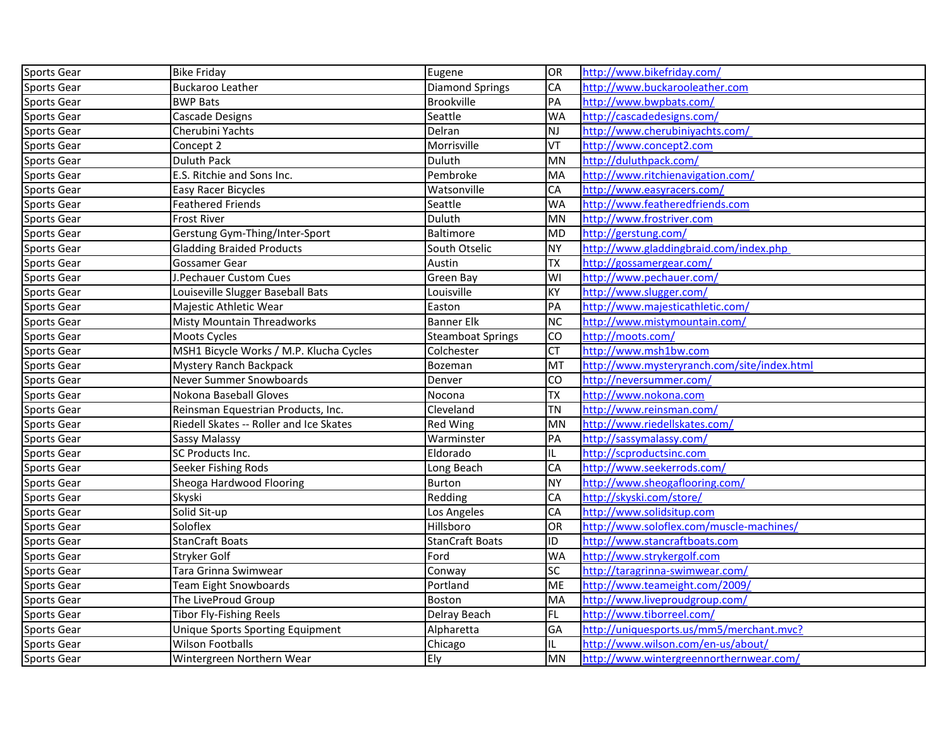| Sports Gear        | <b>Bike Friday</b>                      | Eugene                   | OR                      | http://www.bikefriday.com/                  |
|--------------------|-----------------------------------------|--------------------------|-------------------------|---------------------------------------------|
| Sports Gear        | <b>Buckaroo Leather</b>                 | <b>Diamond Springs</b>   | CA                      | http://www.buckarooleather.com              |
| <b>Sports Gear</b> | <b>BWP Bats</b>                         | <b>Brookville</b>        | PA                      | http://www.bwpbats.com/                     |
| <b>Sports Gear</b> | <b>Cascade Designs</b>                  | Seattle                  | <b>WA</b>               | http://cascadedesigns.com/                  |
| Sports Gear        | Cherubini Yachts                        | Delran                   | lnj                     | http://www.cherubiniyachts.com/             |
| Sports Gear        | Concept 2                               | Morrisville              | VT                      | http://www.concept2.com                     |
| <b>Sports Gear</b> | Duluth Pack                             | Duluth                   | MN                      | http://duluthpack.com/                      |
| <b>Sports Gear</b> | E.S. Ritchie and Sons Inc.              | Pembroke                 | MA                      | http://www.ritchienavigation.com/           |
| <b>Sports Gear</b> | Easy Racer Bicycles                     | Watsonville              | <b>CA</b>               | http://www.easyracers.com/                  |
| <b>Sports Gear</b> | <b>Feathered Friends</b>                | Seattle                  | <b>WA</b>               | http://www.featheredfriends.com             |
| Sports Gear        | <b>Frost River</b>                      | Duluth                   | MN                      | http://www.frostriver.com                   |
| Sports Gear        | Gerstung Gym-Thing/Inter-Sport          | Baltimore                | <b>MD</b>               | http://gerstung.com/                        |
| <b>Sports Gear</b> | <b>Gladding Braided Products</b>        | South Otselic            | <b>NY</b>               | http://www.gladdingbraid.com/index.php      |
| <b>Sports Gear</b> | Gossamer Gear                           | Austin                   | <b>TX</b>               | http://gossamergear.com/                    |
| <b>Sports Gear</b> | J.Pechauer Custom Cues                  | Green Bay                | $\overline{\mathsf{W}}$ | http://www.pechauer.com/                    |
| <b>Sports Gear</b> | Louiseville Slugger Baseball Bats       | Louisville               | KY                      | http://www.slugger.com/                     |
| <b>Sports Gear</b> | Majestic Athletic Wear                  | Easton                   | <b>PA</b>               | http://www.majesticathletic.com/            |
| Sports Gear        | Misty Mountain Threadworks              | <b>Banner Elk</b>        | <b>NC</b>               | http://www.mistymountain.com/               |
| Sports Gear        | Moots Cycles                            | <b>Steamboat Springs</b> | CO                      | http://moots.com/                           |
| Sports Gear        | MSH1 Bicycle Works / M.P. Klucha Cycles | Colchester               | Iст                     | http://www.msh1bw.com                       |
| <b>Sports Gear</b> | Mystery Ranch Backpack                  | Bozeman                  | MT                      | http://www.mysteryranch.com/site/index.html |
| Sports Gear        | Never Summer Snowboards                 | Denver                   | <b>CO</b>               | http://neversummer.com/                     |
| <b>Sports Gear</b> | Nokona Baseball Gloves                  | Nocona                   | <b>TX</b>               | http://www.nokona.com                       |
| <b>Sports Gear</b> | Reinsman Equestrian Products, Inc.      | Cleveland                | <b>TN</b>               | http://www.reinsman.com/                    |
| Sports Gear        | Riedell Skates -- Roller and Ice Skates | Red Wing                 | MN                      | http://www.riedellskates.com/               |
| <b>Sports Gear</b> | <b>Sassy Malassy</b>                    | Warminster               | PA                      | http://sassymalassy.com/                    |
| Sports Gear        | SC Products Inc.                        | Eldorado                 | IL.                     | http://scproductsinc.com                    |
| <b>Sports Gear</b> | Seeker Fishing Rods                     | Long Beach               | <b>CA</b>               | http://www.seekerrods.com/                  |
| <b>Sports Gear</b> | Sheoga Hardwood Flooring                | Burton                   | <b>NY</b>               | http://www.sheogaflooring.com/              |
| Sports Gear        | Skyski                                  | Redding                  | <b>CA</b>               | http://skyski.com/store/                    |
| <b>Sports Gear</b> | Solid Sit-up                            | Los Angeles              | CA                      | http://www.solidsitup.com                   |
| <b>Sports Gear</b> | Soloflex                                | Hillsboro                | OR                      | http://www.soloflex.com/muscle-machines/    |
| Sports Gear        | <b>StanCraft Boats</b>                  | <b>StanCraft Boats</b>   | ID                      | http://www.stancraftboats.com               |
| <b>Sports Gear</b> | Stryker Golf                            | Ford                     | <b>WA</b>               | http://www.strykergolf.com                  |
| <b>Sports Gear</b> | Tara Grinna Swimwear                    | Conway                   | sc                      | http://taragrinna-swimwear.com/             |
| Sports Gear        | Team Eight Snowboards                   | Portland                 | ME                      | http://www.teameight.com/2009/              |
| <b>Sports Gear</b> | The LiveProud Group                     | Boston                   | MA                      | http://www.liveproudgroup.com/              |
| <b>Sports Gear</b> | Tibor Fly-Fishing Reels                 | Delray Beach             | FL                      | http://www.tiborreel.com/                   |
| Sports Gear        | Unique Sports Sporting Equipment        | Alpharetta               | GA                      | http://uniquesports.us/mm5/merchant.mvc?    |
| <b>Sports Gear</b> | Wilson Footballs                        | Chicago                  | IL.                     | http://www.wilson.com/en-us/about/          |
| <b>Sports Gear</b> | Wintergreen Northern Wear               | Ely                      | MN                      | http://www.wintergreennorthernwear.com/     |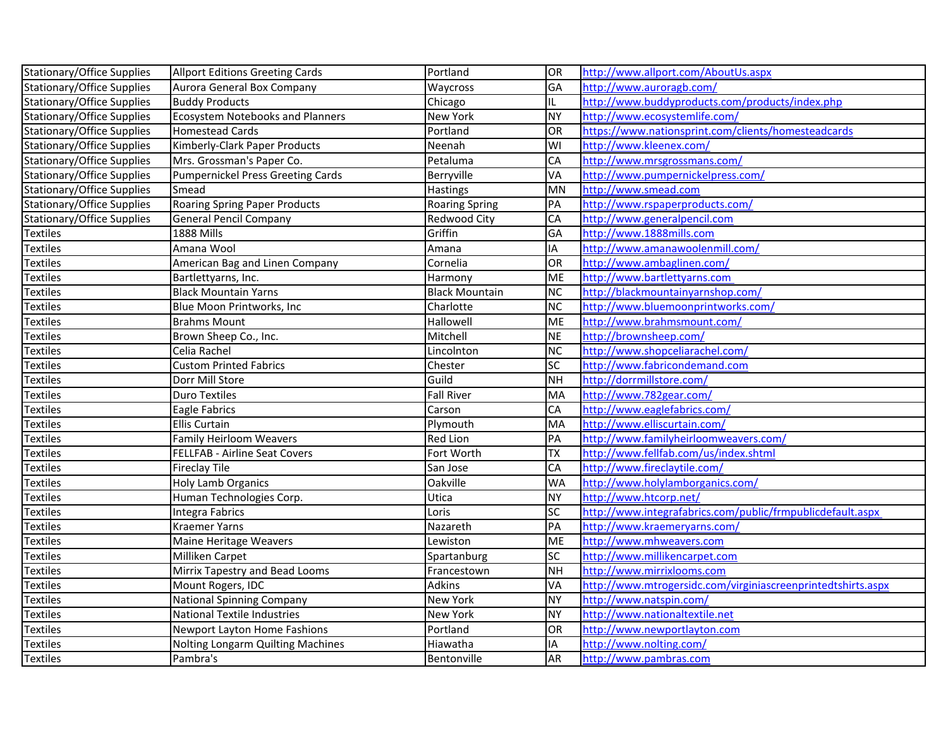| <b>Stationary/Office Supplies</b> | <b>Allport Editions Greeting Cards</b>   | Portland              | OR         | http://www.allport.com/AboutUs.aspx                          |
|-----------------------------------|------------------------------------------|-----------------------|------------|--------------------------------------------------------------|
| Stationary/Office Supplies        | Aurora General Box Company               | Waycross              | GA         | http://www.auroragb.com/                                     |
| <b>Stationary/Office Supplies</b> | <b>Buddy Products</b>                    | Chicago               | IL.        | http://www.buddyproducts.com/products/index.php              |
| <b>Stationary/Office Supplies</b> | <b>Ecosystem Notebooks and Planners</b>  | New York              | <b>NY</b>  | http://www.ecosystemlife.com/                                |
| Stationary/Office Supplies        | <b>Homestead Cards</b>                   | Portland              | OR         | https://www.nationsprint.com/clients/homesteadcards          |
| Stationary/Office Supplies        | Kimberly-Clark Paper Products            | Neenah                | WI         | http://www.kleenex.com/                                      |
| <b>Stationary/Office Supplies</b> | Mrs. Grossman's Paper Co.                | Petaluma              | CA         | http://www.mrsgrossmans.com/                                 |
| <b>Stationary/Office Supplies</b> | <b>Pumpernickel Press Greeting Cards</b> | Berryville            | VA         | http://www.pumpernickelpress.com/                            |
| <b>Stationary/Office Supplies</b> | Smead                                    | Hastings              | <b>MN</b>  | http://www.smead.com                                         |
| Stationary/Office Supplies        | <b>Roaring Spring Paper Products</b>     | <b>Roaring Spring</b> | PA         | http://www.rspaperproducts.com/                              |
| Stationary/Office Supplies        | <b>General Pencil Company</b>            | Redwood City          | ${\sf CA}$ | http://www.generalpencil.com                                 |
| <b>Textiles</b>                   | 1888 Mills                               | Griffin               | GA         | http://www.1888mills.com                                     |
| <b>Textiles</b>                   | Amana Wool                               | Amana                 | ΙA         | http://www.amanawoolenmill.com/                              |
| Textiles                          | American Bag and Linen Company           | Cornelia              | OR         | http://www.ambaglinen.com/                                   |
| <b>Textiles</b>                   | Bartlettyarns, Inc.                      | Harmony               | <b>ME</b>  | http://www.bartlettyarns.com                                 |
| <b>Textiles</b>                   | <b>Black Mountain Yarns</b>              | <b>Black Mountain</b> | <b>NC</b>  | http://blackmountainyarnshop.com/                            |
| <b>Textiles</b>                   | Blue Moon Printworks, Inc                | Charlotte             | <b>NC</b>  | http://www.bluemoonprintworks.com/                           |
| <b>Textiles</b>                   | <b>Brahms Mount</b>                      | Hallowell             | <b>ME</b>  | http://www.brahmsmount.com/                                  |
| <b>Textiles</b>                   | Brown Sheep Co., Inc.                    | Mitchell              | <b>NE</b>  | http://brownsheep.com/                                       |
| <b>Textiles</b>                   | Celia Rachel                             | Lincolnton            | <b>NC</b>  | http://www.shopceliarachel.com/                              |
| Textiles                          | <b>Custom Printed Fabrics</b>            | Chester               | <b>SC</b>  | http://www.fabricondemand.com                                |
| <b>Textiles</b>                   | Dorr Mill Store                          | Guild                 | <b>NH</b>  | http://dorrmillstore.com/                                    |
| <b>Textiles</b>                   | Duro Textiles                            | <b>Fall River</b>     | MA         | http://www.782gear.com/                                      |
| <b>Textiles</b>                   | Eagle Fabrics                            | Carson                | CA         | http://www.eaglefabrics.com/                                 |
| <b>Textiles</b>                   | <b>Ellis Curtain</b>                     | Plymouth              | MA         | http://www.elliscurtain.com/                                 |
| Textiles                          | Family Heirloom Weavers                  | <b>Red Lion</b>       | PA         | http://www.familyheirloomweavers.com/                        |
| <b>Textiles</b>                   | FELLFAB - Airline Seat Covers            | Fort Worth            | <b>TX</b>  | http://www.fellfab.com/us/index.shtml                        |
| <b>Textiles</b>                   | <b>Fireclay Tile</b>                     | San Jose              | CA         | http://www.fireclaytile.com/                                 |
| <b>Textiles</b>                   | Holy Lamb Organics                       | Oakville              | <b>WA</b>  | http://www.holylamborganics.com/                             |
| <b>Textiles</b>                   | Human Technologies Corp.                 | Utica                 | <b>NY</b>  | http://www.htcorp.net/                                       |
| <b>Textiles</b>                   | Integra Fabrics                          | Loris                 | SC         | http://www.integrafabrics.com/public/frmpublicdefault.aspx   |
| <b>Textiles</b>                   | Kraemer Yarns                            | Nazareth              | PA         | http://www.kraemeryarns.com/                                 |
| Textiles                          | Maine Heritage Weavers                   | Lewiston              | <b>ME</b>  | http://www.mhweavers.com                                     |
| <b>Textiles</b>                   | Milliken Carpet                          | Spartanburg           | <b>SC</b>  | http://www.millikencarpet.com                                |
| <b>Textiles</b>                   | Mirrix Tapestry and Bead Looms           | Francestown           | <b>NH</b>  | http://www.mirrixlooms.com                                   |
| Textiles                          | Mount Rogers, IDC                        | <b>Adkins</b>         | VA         | http://www.mtrogersidc.com/virginiascreenprintedtshirts.aspx |
| <b>Textiles</b>                   | <b>National Spinning Company</b>         | New York              | <b>NY</b>  | http://www.natspin.com/                                      |
| <b>Textiles</b>                   | National Textile Industries              | New York              | <b>NY</b>  | http://www.nationaltextile.net                               |
| <b>Textiles</b>                   | Newport Layton Home Fashions             | Portland              | OR         | http://www.newportlayton.com                                 |
| <b>Textiles</b>                   | Nolting Longarm Quilting Machines        | Hiawatha              | IA         | http://www.nolting.com/                                      |
| <b>Textiles</b>                   | Pambra's                                 | Bentonville           | <b>AR</b>  | http://www.pambras.com                                       |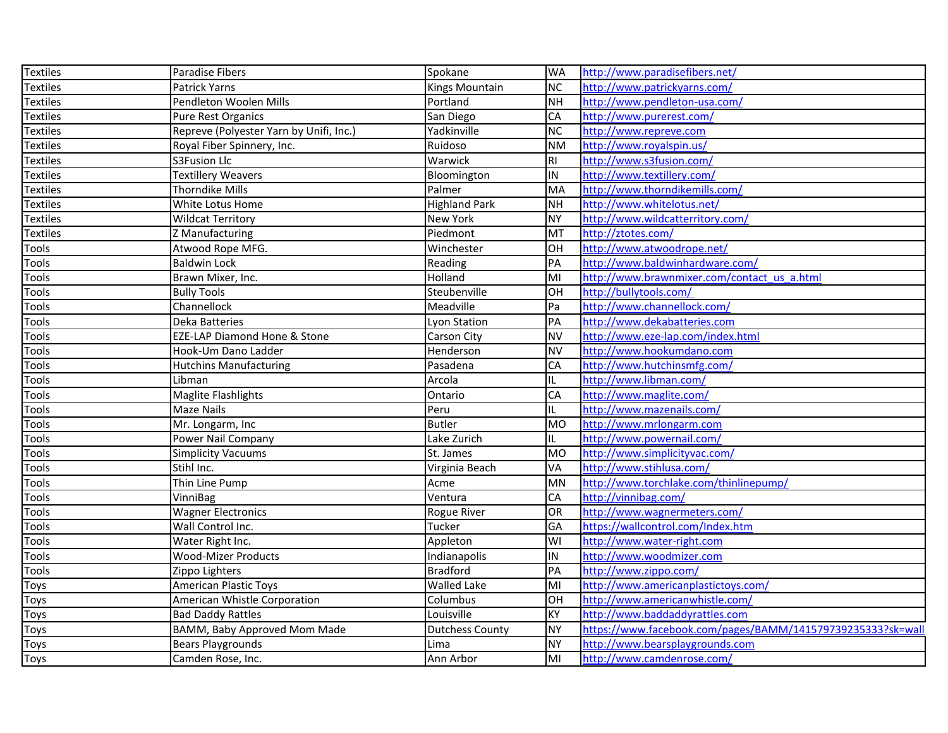| Textiles        | Paradise Fibers                         | Spokane                | <b>WA</b> | http://www.paradisefibers.net/                              |
|-----------------|-----------------------------------------|------------------------|-----------|-------------------------------------------------------------|
| <b>Textiles</b> | Patrick Yarns                           | Kings Mountain         | <b>NC</b> | http://www.patrickyarns.com/                                |
| <b>Textiles</b> | Pendleton Woolen Mills                  | Portland               | <b>NH</b> | http://www.pendleton-usa.com/                               |
| Textiles        | Pure Rest Organics                      | San Diego              | CA        | http://www.purerest.com/                                    |
| Textiles        | Repreve (Polyester Yarn by Unifi, Inc.) | Yadkinville            | <b>NC</b> | http://www.repreve.com                                      |
| <b>Textiles</b> | Royal Fiber Spinnery, Inc.              | Ruidoso                | <b>NM</b> | http://www.royalspin.us/                                    |
| <b>Textiles</b> | <b>S3Fusion Llc</b>                     | Warwick                | RI.       | http://www.s3fusion.com/                                    |
| Textiles        | <b>Textillery Weavers</b>               | Bloomington            | IN        | http://www.textillery.com/                                  |
| <b>Textiles</b> | <b>Thorndike Mills</b>                  | Palmer                 | MA        | http://www.thorndikemills.com/                              |
| Textiles        | White Lotus Home                        | <b>Highland Park</b>   | <b>NH</b> | http://www.whitelotus.net/                                  |
| <b>Textiles</b> | <b>Wildcat Territory</b>                | New York               | <b>NY</b> | http://www.wildcatterritory.com/                            |
| <b>Textiles</b> | Z Manufacturing                         | Piedmont               | MT        | http://ztotes.com/                                          |
| <b>Tools</b>    | Atwood Rope MFG.                        | Winchester             | OH        | http://www.atwoodrope.net/                                  |
| Tools           | <b>Baldwin Lock</b>                     | Reading                | PA        | http://www.baldwinhardware.com/                             |
| <b>Tools</b>    | Brawn Mixer, Inc.                       | Holland                | MI        | http://www.brawnmixer.com/contact us a.html                 |
| Tools           | <b>Bully Tools</b>                      | Steubenville           | OH        | http://bullytools.com/                                      |
| <b>Tools</b>    | Channellock                             | Meadville              | Pa        | http://www.channellock.com/                                 |
| <b>Tools</b>    | Deka Batteries                          | Lyon Station           | PA        | http://www.dekabatteries.com                                |
| Tools           | <b>EZE-LAP Diamond Hone &amp; Stone</b> | Carson City            | <b>NV</b> | http://www.eze-lap.com/index.html                           |
| <b>Tools</b>    | Hook-Um Dano Ladder                     | Henderson              | <b>NV</b> | http://www.hookumdano.com                                   |
| Tools           | <b>Hutchins Manufacturing</b>           | Pasadena               | CA        | http://www.hutchinsmfg.com/                                 |
| <b>Tools</b>    | Libman                                  | Arcola                 | IL        | http://www.libman.com/                                      |
| <b>Tools</b>    | <b>Maglite Flashlights</b>              | Ontario                | CA        | http://www.maglite.com/                                     |
| <b>Tools</b>    | Maze Nails                              | Peru                   | IL        | http://www.mazenails.com/                                   |
| Tools           | Mr. Longarm, Inc                        | <b>Butler</b>          | <b>MO</b> | http://www.mrlongarm.com                                    |
| <b>Tools</b>    | Power Nail Company                      | Lake Zurich            | IL.       | http://www.powernail.com/                                   |
| Tools           | <b>Simplicity Vacuums</b>               | St. James              | <b>MO</b> | http://www.simplicityvac.com/                               |
| <b>Tools</b>    | Stihl Inc.                              | Virginia Beach         | VA        | http://www.stihlusa.com/                                    |
| <b>Tools</b>    | Thin Line Pump                          | Acme                   | <b>MN</b> | http://www.torchlake.com/thinlinepump/                      |
| <b>Tools</b>    | VinniBag                                | Ventura                | CA        | http://vinnibag.com/                                        |
| <b>Tools</b>    | <b>Wagner Electronics</b>               | Rogue River            | OR        | http://www.wagnermeters.com/                                |
| Tools           | Wall Control Inc.                       | Tucker                 | GA        | https://wallcontrol.com/Index.htm                           |
| <b>Tools</b>    | Water Right Inc.                        | Appleton               | WI        | http://www.water-right.com                                  |
| <b>Tools</b>    | <b>Wood-Mizer Products</b>              | Indianapolis           | IN        | http://www.woodmizer.com                                    |
| <b>Tools</b>    | Zippo Lighters                          | <b>Bradford</b>        | PA        | http://www.zippo.com/                                       |
| Toys            | <b>American Plastic Toys</b>            | <b>Walled Lake</b>     | MI        | http://www.americanplastictoys.com/                         |
| <b>Toys</b>     | American Whistle Corporation            | Columbus               | lон       | http://www.americanwhistle.com/                             |
| Toys            | <b>Bad Daddy Rattles</b>                | Louisville             | KY        | http://www.baddaddyrattles.com                              |
| Toys            | BAMM, Baby Approved Mom Made            | <b>Dutchess County</b> | <b>NY</b> | https://www.facebook.com/pages/BAMM/141579739235333?sk=wall |
| Toys            | <b>Bears Playgrounds</b>                | Lima                   | <b>NY</b> | http://www.bearsplaygrounds.com                             |
| <b>Toys</b>     | Camden Rose, Inc.                       | Ann Arbor              | MI        | http://www.camdenrose.com/                                  |